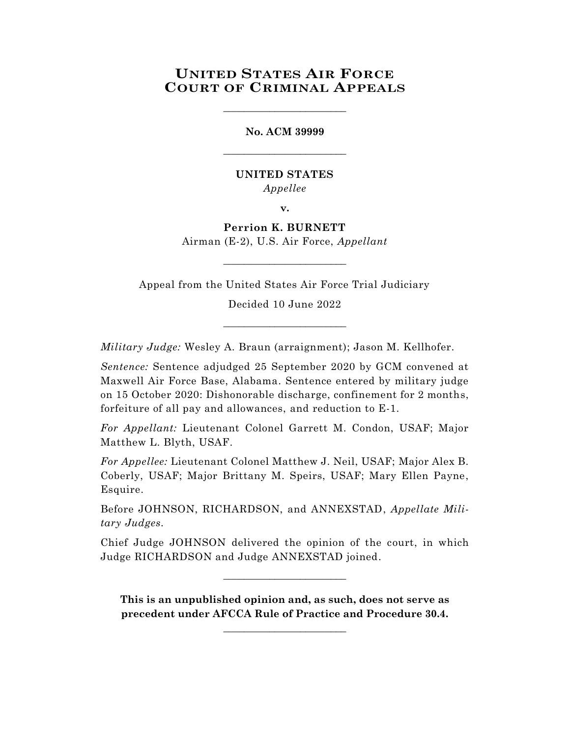# **UNITED STATES AIR FORCE COURT OF CRIMINAL APPEALS**

\_\_\_\_\_\_\_\_\_\_\_\_\_\_\_\_\_\_\_\_\_\_\_\_

**No. ACM 39999** \_\_\_\_\_\_\_\_\_\_\_\_\_\_\_\_\_\_\_\_\_\_\_\_

# **UNITED STATES** *Appellee*

**v.**

**Perrion K. BURNETT** Airman (E-2), U.S. Air Force, *Appellant*

\_\_\_\_\_\_\_\_\_\_\_\_\_\_\_\_\_\_\_\_\_\_\_\_

Appeal from the United States Air Force Trial Judiciary

Decided 10 June 2022

\_\_\_\_\_\_\_\_\_\_\_\_\_\_\_\_\_\_\_\_\_\_\_\_

*Military Judge:* Wesley A. Braun (arraignment); Jason M. Kellhofer.

*Sentence:* Sentence adjudged 25 September 2020 by GCM convened at Maxwell Air Force Base, Alabama. Sentence entered by military judge on 15 October 2020: Dishonorable discharge, confinement for 2 months, forfeiture of all pay and allowances, and reduction to E-1.

*For Appellant:* Lieutenant Colonel Garrett M. Condon, USAF; Major Matthew L. Blyth, USAF.

*For Appellee:* Lieutenant Colonel Matthew J. Neil, USAF; Major Alex B. Coberly, USAF; Major Brittany M. Speirs, USAF; Mary Ellen Payne, Esquire.

Before JOHNSON, RICHARDSON, and ANNEXSTAD, *Appellate Military Judges.*

Chief Judge JOHNSON delivered the opinion of the court, in which Judge RICHARDSON and Judge ANNEXSTAD joined.

\_\_\_\_\_\_\_\_\_\_\_\_\_\_\_\_\_\_\_\_\_\_\_\_

**This is an unpublished opinion and, as such, does not serve as precedent under AFCCA Rule of Practice and Procedure 30.4.**

**\_\_\_\_\_\_\_\_\_\_\_\_\_\_\_\_\_\_\_\_\_\_\_\_**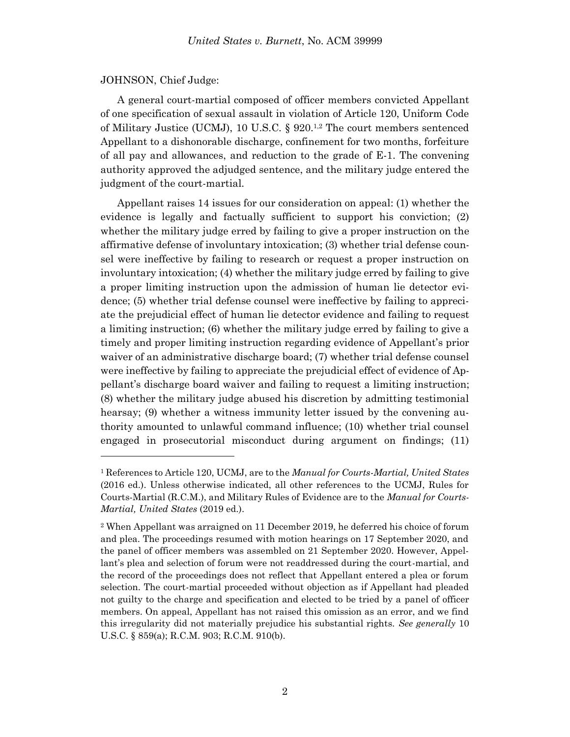#### JOHNSON, Chief Judge:

l

A general court-martial composed of officer members convicted Appellant of one specification of sexual assault in violation of Article 120, Uniform Code of Military Justice (UCMJ), 10 U.S.C. § 920. 1,2 The court members sentenced Appellant to a dishonorable discharge, confinement for two months, forfeiture of all pay and allowances, and reduction to the grade of E-1. The convening authority approved the adjudged sentence, and the military judge entered the judgment of the court-martial.

Appellant raises 14 issues for our consideration on appeal: (1) whether the evidence is legally and factually sufficient to support his conviction; (2) whether the military judge erred by failing to give a proper instruction on the affirmative defense of involuntary intoxication; (3) whether trial defense counsel were ineffective by failing to research or request a proper instruction on involuntary intoxication; (4) whether the military judge erred by failing to give a proper limiting instruction upon the admission of human lie detector evidence; (5) whether trial defense counsel were ineffective by failing to appreciate the prejudicial effect of human lie detector evidence and failing to request a limiting instruction; (6) whether the military judge erred by failing to give a timely and proper limiting instruction regarding evidence of Appellant's prior waiver of an administrative discharge board; (7) whether trial defense counsel were ineffective by failing to appreciate the prejudicial effect of evidence of Appellant's discharge board waiver and failing to request a limiting instruction; (8) whether the military judge abused his discretion by admitting testimonial hearsay; (9) whether a witness immunity letter issued by the convening authority amounted to unlawful command influence; (10) whether trial counsel engaged in prosecutorial misconduct during argument on findings; (11)

<sup>1</sup> References to Article 120, UCMJ, are to the *Manual for Courts-Martial, United States* (2016 ed.). Unless otherwise indicated, all other references to the UCMJ, Rules for Courts-Martial (R.C.M.), and Military Rules of Evidence are to the *Manual for Courts-Martial, United States* (2019 ed.).

<sup>2</sup> When Appellant was arraigned on 11 December 2019, he deferred his choice of forum and plea. The proceedings resumed with motion hearings on 17 September 2020, and the panel of officer members was assembled on 21 September 2020. However, Appellant's plea and selection of forum were not readdressed during the court-martial, and the record of the proceedings does not reflect that Appellant entered a plea or forum selection. The court-martial proceeded without objection as if Appellant had pleaded not guilty to the charge and specification and elected to be tried by a panel of officer members. On appeal, Appellant has not raised this omission as an error, and we find this irregularity did not materially prejudice his substantial rights. *See generally* 10 U.S.C. § 859(a); R.C.M. 903; R.C.M. 910(b).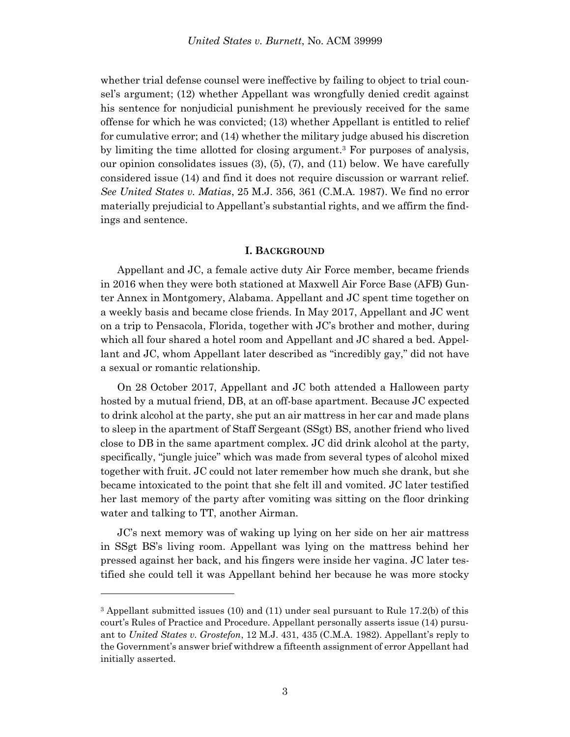whether trial defense counsel were ineffective by failing to object to trial counsel's argument; (12) whether Appellant was wrongfully denied credit against his sentence for nonjudicial punishment he previously received for the same offense for which he was convicted; (13) whether Appellant is entitled to relief for cumulative error; and (14) whether the military judge abused his discretion by limiting the time allotted for closing argument.<sup>3</sup> For purposes of analysis, our opinion consolidates issues  $(3)$ ,  $(5)$ ,  $(7)$ , and  $(11)$  below. We have carefully considered issue (14) and find it does not require discussion or warrant relief. *See United States v. Matias*, 25 M.J. 356, 361 (C.M.A. 1987). We find no error materially prejudicial to Appellant's substantial rights, and we affirm the findings and sentence.

#### **I. BACKGROUND**

Appellant and JC, a female active duty Air Force member, became friends in 2016 when they were both stationed at Maxwell Air Force Base (AFB) Gunter Annex in Montgomery, Alabama. Appellant and JC spent time together on a weekly basis and became close friends. In May 2017, Appellant and JC went on a trip to Pensacola, Florida, together with JC's brother and mother, during which all four shared a hotel room and Appellant and JC shared a bed. Appellant and JC, whom Appellant later described as "incredibly gay," did not have a sexual or romantic relationship.

On 28 October 2017, Appellant and JC both attended a Halloween party hosted by a mutual friend, DB, at an off-base apartment. Because JC expected to drink alcohol at the party, she put an air mattress in her car and made plans to sleep in the apartment of Staff Sergeant (SSgt) BS, another friend who lived close to DB in the same apartment complex. JC did drink alcohol at the party, specifically, "jungle juice" which was made from several types of alcohol mixed together with fruit. JC could not later remember how much she drank, but she became intoxicated to the point that she felt ill and vomited. JC later testified her last memory of the party after vomiting was sitting on the floor drinking water and talking to TT, another Airman.

JC's next memory was of waking up lying on her side on her air mattress in SSgt BS's living room. Appellant was lying on the mattress behind her pressed against her back, and his fingers were inside her vagina. JC later testified she could tell it was Appellant behind her because he was more stocky

l

<sup>3</sup> Appellant submitted issues (10) and (11) under seal pursuant to Rule 17.2(b) of this court's Rules of Practice and Procedure. Appellant personally asserts issue (14) pursuant to *United States v. Grostefon*, 12 M.J. 431, 435 (C.M.A. 1982). Appellant's reply to the Government's answer brief withdrew a fifteenth assignment of error Appellant had initially asserted.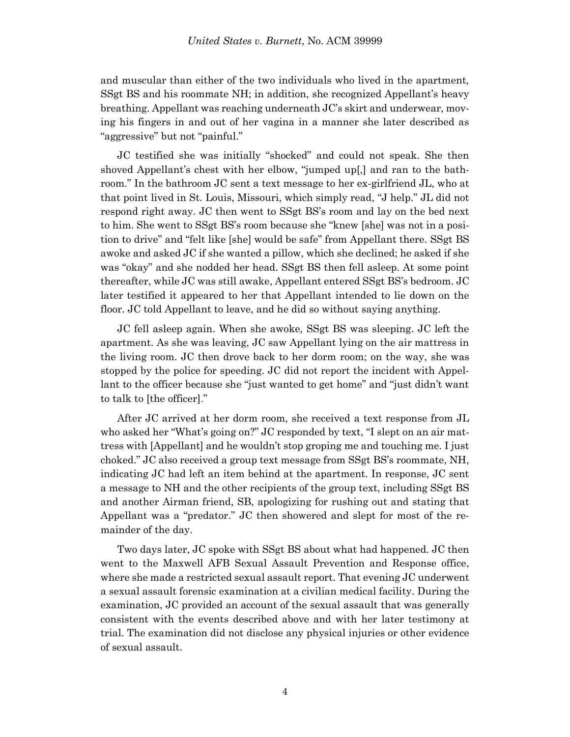and muscular than either of the two individuals who lived in the apartment, SSgt BS and his roommate NH; in addition, she recognized Appellant's heavy breathing. Appellant was reaching underneath JC's skirt and underwear, moving his fingers in and out of her vagina in a manner she later described as "aggressive" but not "painful."

JC testified she was initially "shocked" and could not speak. She then shoved Appellant's chest with her elbow, "jumped up[,] and ran to the bathroom." In the bathroom JC sent a text message to her ex-girlfriend JL, who at that point lived in St. Louis, Missouri, which simply read, "J help." JL did not respond right away. JC then went to SSgt BS's room and lay on the bed next to him. She went to SSgt BS's room because she "knew [she] was not in a position to drive" and "felt like [she] would be safe" from Appellant there. SSgt BS awoke and asked JC if she wanted a pillow, which she declined; he asked if she was "okay" and she nodded her head. SSgt BS then fell asleep. At some point thereafter, while JC was still awake, Appellant entered SSgt BS's bedroom. JC later testified it appeared to her that Appellant intended to lie down on the floor. JC told Appellant to leave, and he did so without saying anything.

JC fell asleep again. When she awoke, SSgt BS was sleeping. JC left the apartment. As she was leaving, JC saw Appellant lying on the air mattress in the living room. JC then drove back to her dorm room; on the way, she was stopped by the police for speeding. JC did not report the incident with Appellant to the officer because she "just wanted to get home" and "just didn't want to talk to [the officer]."

After JC arrived at her dorm room, she received a text response from JL who asked her "What's going on?" JC responded by text, "I slept on an air mattress with [Appellant] and he wouldn't stop groping me and touching me. I just choked." JC also received a group text message from SSgt BS's roommate, NH, indicating JC had left an item behind at the apartment. In response, JC sent a message to NH and the other recipients of the group text, including SSgt BS and another Airman friend, SB, apologizing for rushing out and stating that Appellant was a "predator." JC then showered and slept for most of the remainder of the day.

Two days later, JC spoke with SSgt BS about what had happened. JC then went to the Maxwell AFB Sexual Assault Prevention and Response office, where she made a restricted sexual assault report. That evening JC underwent a sexual assault forensic examination at a civilian medical facility. During the examination, JC provided an account of the sexual assault that was generally consistent with the events described above and with her later testimony at trial. The examination did not disclose any physical injuries or other evidence of sexual assault.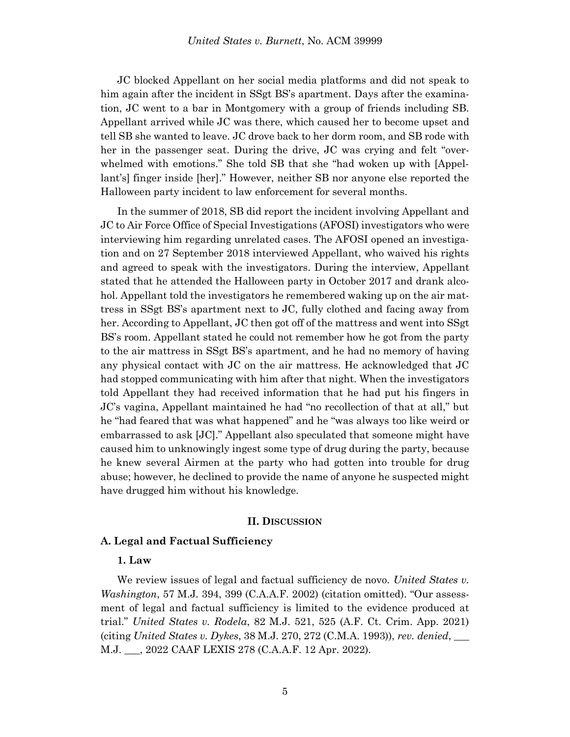JC blocked Appellant on her social media platforms and did not speak to him again after the incident in SSgt BS's apartment. Days after the examination, JC went to a bar in Montgomery with a group of friends including SB. Appellant arrived while JC was there, which caused her to become upset and tell SB she wanted to leave. JC drove back to her dorm room, and SB rode with her in the passenger seat. During the drive, JC was crying and felt "overwhelmed with emotions." She told SB that she "had woken up with [Appellant's] finger inside [her]." However, neither SB nor anyone else reported the Halloween party incident to law enforcement for several months.

In the summer of 2018, SB did report the incident involving Appellant and JC to Air Force Office of Special Investigations (AFOSI) investigators who were interviewing him regarding unrelated cases. The AFOSI opened an investigation and on 27 September 2018 interviewed Appellant, who waived his rights and agreed to speak with the investigators. During the interview, Appellant stated that he attended the Halloween party in October 2017 and drank alcohol. Appellant told the investigators he remembered waking up on the air mattress in SSgt BS's apartment next to JC, fully clothed and facing away from her. According to Appellant, JC then got off of the mattress and went into SSgt BS's room. Appellant stated he could not remember how he got from the party to the air mattress in SSgt BS's apartment, and he had no memory of having any physical contact with JC on the air mattress. He acknowledged that JC had stopped communicating with him after that night. When the investigators told Appellant they had received information that he had put his fingers in JC's vagina, Appellant maintained he had "no recollection of that at all," but he "had feared that was what happened" and he "was always too like weird or embarrassed to ask [JC]." Appellant also speculated that someone might have caused him to unknowingly ingest some type of drug during the party, because he knew several Airmen at the party who had gotten into trouble for drug abuse; however, he declined to provide the name of anyone he suspected might have drugged him without his knowledge.

#### **II. DISCUSSION**

#### **A. Legal and Factual Sufficiency**

### **1. Law**

We review issues of legal and factual sufficiency de novo. *United States v. Washington*, 57 M.J. 394, 399 (C.A.A.F. 2002) (citation omitted). "Our assessment of legal and factual sufficiency is limited to the evidence produced at trial." *United States v. Rodela*, 82 M.J. 521, 525 (A.F. Ct. Crim. App. 2021) (citing *United States v. Dykes*, 38 M.J. 270, 272 (C.M.A. 1993)), *rev. denied*, \_\_\_ M.J. \_\_\_, 2022 CAAF LEXIS 278 (C.A.A.F. 12 Apr. 2022).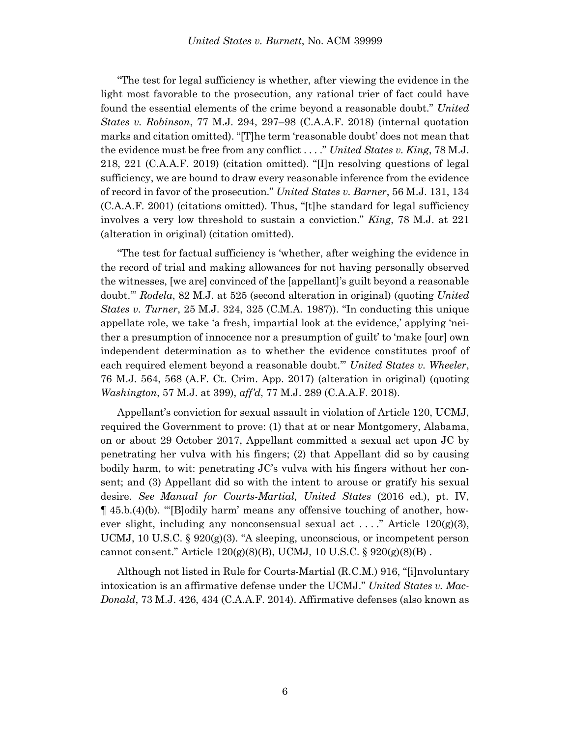"The test for legal sufficiency is whether, after viewing the evidence in the light most favorable to the prosecution, any rational trier of fact could have found the essential elements of the crime beyond a reasonable doubt." *United States v. Robinson*, 77 M.J. 294, 297–98 (C.A.A.F. 2018) (internal quotation marks and citation omitted). "[T]he term 'reasonable doubt' does not mean that the evidence must be free from any conflict . . . ." *United States v. King*, 78 M.J. 218, 221 (C.A.A.F. 2019) (citation omitted). "[I]n resolving questions of legal sufficiency, we are bound to draw every reasonable inference from the evidence of record in favor of the prosecution." *United States v. Barner*, 56 M.J. 131, 134 (C.A.A.F. 2001) (citations omitted). Thus, "[t]he standard for legal sufficiency involves a very low threshold to sustain a conviction." *King*, 78 M.J. at 221 (alteration in original) (citation omitted).

"The test for factual sufficiency is 'whether, after weighing the evidence in the record of trial and making allowances for not having personally observed the witnesses, [we are] convinced of the [appellant]'s guilt beyond a reasonable doubt.'" *Rodela*, 82 M.J. at 525 (second alteration in original) (quoting *United States v. Turner*, 25 M.J. 324, 325 (C.M.A. 1987)). "In conducting this unique appellate role, we take 'a fresh, impartial look at the evidence,' applying 'neither a presumption of innocence nor a presumption of guilt' to 'make [our] own independent determination as to whether the evidence constitutes proof of each required element beyond a reasonable doubt.'" *United States v. Wheeler*, 76 M.J. 564, 568 (A.F. Ct. Crim. App. 2017) (alteration in original) (quoting *Washington*, 57 M.J. at 399), *aff'd*, 77 M.J. 289 (C.A.A.F. 2018).

Appellant's conviction for sexual assault in violation of Article 120, UCMJ, required the Government to prove: (1) that at or near Montgomery, Alabama, on or about 29 October 2017, Appellant committed a sexual act upon JC by penetrating her vulva with his fingers; (2) that Appellant did so by causing bodily harm, to wit: penetrating JC's vulva with his fingers without her consent; and (3) Appellant did so with the intent to arouse or gratify his sexual desire. *See Manual for Courts-Martial, United States* (2016 ed.), pt. IV, ¶ 45.b.(4)(b). "'[B]odily harm' means any offensive touching of another, however slight, including any nonconsensual sexual act ...." Article  $120(g)(3)$ , UCMJ, 10 U.S.C. §  $920(g)(3)$ . "A sleeping, unconscious, or incompetent person cannot consent." Article  $120(g)(8)(B)$ , UCMJ, 10 U.S.C. §  $920(g)(8)(B)$ .

Although not listed in Rule for Courts-Martial (R.C.M.) 916, "[i]nvoluntary intoxication is an affirmative defense under the UCMJ." *United States v. Mac-Donald*, 73 M.J. 426, 434 (C.A.A.F. 2014). Affirmative defenses (also known as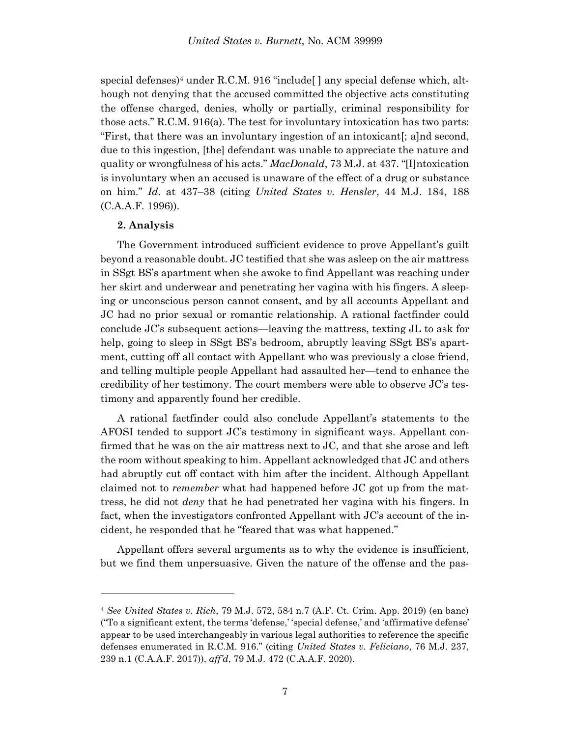special defenses)<sup>4</sup> under R.C.M. 916 "include  $\vert$  any special defense which, although not denying that the accused committed the objective acts constituting the offense charged, denies, wholly or partially, criminal responsibility for those acts." R.C.M. 916(a). The test for involuntary intoxication has two parts: "First, that there was an involuntary ingestion of an intoxicant[; a]nd second, due to this ingestion, [the] defendant was unable to appreciate the nature and quality or wrongfulness of his acts." *MacDonald*, 73 M.J. at 437. "[I]ntoxication is involuntary when an accused is unaware of the effect of a drug or substance on him." *Id*. at 437–38 (citing *United States v. Hensler*, 44 M.J. 184, 188 (C.A.A.F. 1996)).

### **2. Analysis**

l

The Government introduced sufficient evidence to prove Appellant's guilt beyond a reasonable doubt. JC testified that she was asleep on the air mattress in SSgt BS's apartment when she awoke to find Appellant was reaching under her skirt and underwear and penetrating her vagina with his fingers. A sleeping or unconscious person cannot consent, and by all accounts Appellant and JC had no prior sexual or romantic relationship. A rational factfinder could conclude JC's subsequent actions—leaving the mattress, texting JL to ask for help, going to sleep in SSgt BS's bedroom, abruptly leaving SSgt BS's apartment, cutting off all contact with Appellant who was previously a close friend, and telling multiple people Appellant had assaulted her—tend to enhance the credibility of her testimony. The court members were able to observe JC's testimony and apparently found her credible.

A rational factfinder could also conclude Appellant's statements to the AFOSI tended to support JC's testimony in significant ways. Appellant confirmed that he was on the air mattress next to JC, and that she arose and left the room without speaking to him. Appellant acknowledged that JC and others had abruptly cut off contact with him after the incident. Although Appellant claimed not to *remember* what had happened before JC got up from the mattress, he did not *deny* that he had penetrated her vagina with his fingers. In fact, when the investigators confronted Appellant with JC's account of the incident, he responded that he "feared that was what happened."

Appellant offers several arguments as to why the evidence is insufficient, but we find them unpersuasive. Given the nature of the offense and the pas-

<sup>4</sup> *See United States v. Rich*, 79 M.J. 572, 584 n.7 (A.F. Ct. Crim. App. 2019) (en banc) ("To a significant extent, the terms 'defense,' 'special defense,' and 'affirmative defense' appear to be used interchangeably in various legal authorities to reference the specific defenses enumerated in R.C.M. 916." (citing *United States v. Feliciano*, 76 M.J. 237, 239 n.1 (C.A.A.F. 2017)), *aff'd*, 79 M.J. 472 (C.A.A.F. 2020).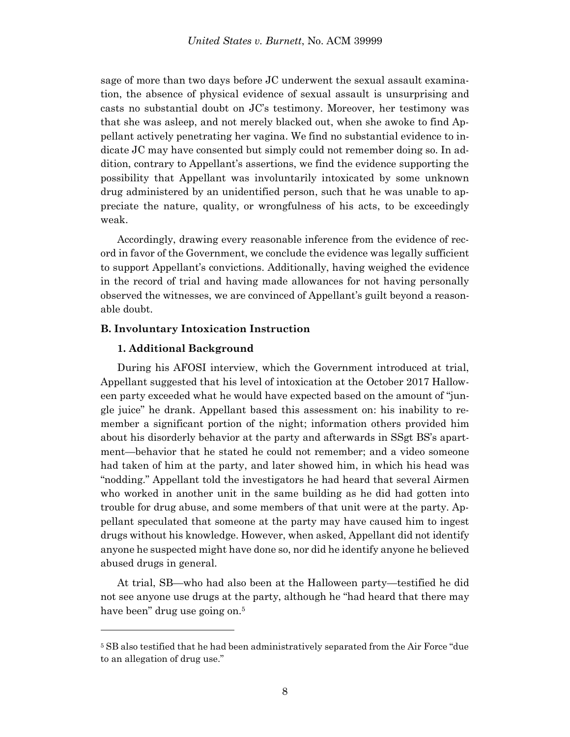sage of more than two days before JC underwent the sexual assault examination, the absence of physical evidence of sexual assault is unsurprising and casts no substantial doubt on JC's testimony. Moreover, her testimony was that she was asleep, and not merely blacked out, when she awoke to find Appellant actively penetrating her vagina. We find no substantial evidence to indicate JC may have consented but simply could not remember doing so. In addition, contrary to Appellant's assertions, we find the evidence supporting the possibility that Appellant was involuntarily intoxicated by some unknown drug administered by an unidentified person, such that he was unable to appreciate the nature, quality, or wrongfulness of his acts, to be exceedingly weak.

Accordingly, drawing every reasonable inference from the evidence of record in favor of the Government, we conclude the evidence was legally sufficient to support Appellant's convictions. Additionally, having weighed the evidence in the record of trial and having made allowances for not having personally observed the witnesses, we are convinced of Appellant's guilt beyond a reasonable doubt.

# **B. Involuntary Intoxication Instruction**

### **1. Additional Background**

l

During his AFOSI interview, which the Government introduced at trial, Appellant suggested that his level of intoxication at the October 2017 Halloween party exceeded what he would have expected based on the amount of "jungle juice" he drank. Appellant based this assessment on: his inability to remember a significant portion of the night; information others provided him about his disorderly behavior at the party and afterwards in SSgt BS's apartment—behavior that he stated he could not remember; and a video someone had taken of him at the party, and later showed him, in which his head was "nodding." Appellant told the investigators he had heard that several Airmen who worked in another unit in the same building as he did had gotten into trouble for drug abuse, and some members of that unit were at the party. Appellant speculated that someone at the party may have caused him to ingest drugs without his knowledge. However, when asked, Appellant did not identify anyone he suspected might have done so, nor did he identify anyone he believed abused drugs in general.

At trial, SB—who had also been at the Halloween party—testified he did not see anyone use drugs at the party, although he "had heard that there may have been" drug use going on.<sup>5</sup>

<sup>&</sup>lt;sup>5</sup> SB also testified that he had been administratively separated from the Air Force "due to an allegation of drug use."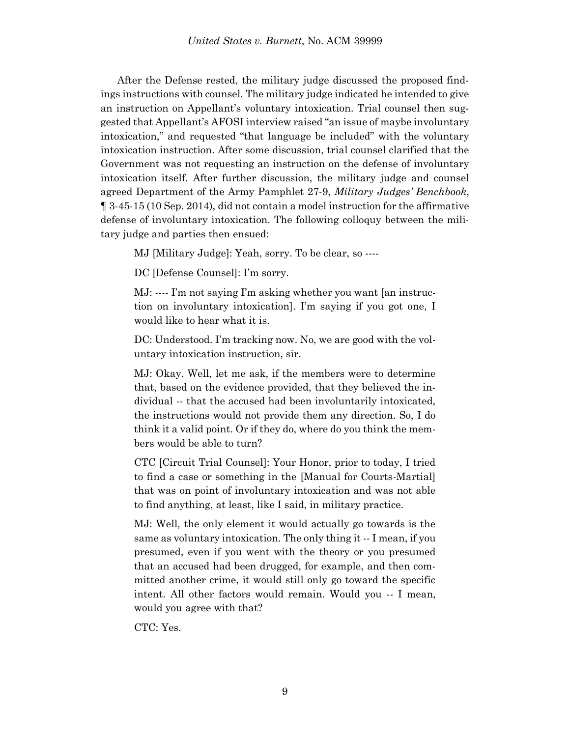After the Defense rested, the military judge discussed the proposed findings instructions with counsel. The military judge indicated he intended to give an instruction on Appellant's voluntary intoxication. Trial counsel then suggested that Appellant's AFOSI interview raised "an issue of maybe involuntary intoxication," and requested "that language be included" with the voluntary intoxication instruction. After some discussion, trial counsel clarified that the Government was not requesting an instruction on the defense of involuntary intoxication itself. After further discussion, the military judge and counsel agreed Department of the Army Pamphlet 27-9, *Military Judges' Benchbook*, ¶ 3-45-15 (10 Sep. 2014), did not contain a model instruction for the affirmative defense of involuntary intoxication. The following colloquy between the military judge and parties then ensued:

MJ [Military Judge]: Yeah, sorry. To be clear, so ----

DC [Defense Counsel]: I'm sorry.

MJ: ---- I'm not saying I'm asking whether you want [an instruction on involuntary intoxication]. I'm saying if you got one, I would like to hear what it is.

DC: Understood. I'm tracking now. No, we are good with the voluntary intoxication instruction, sir.

MJ: Okay. Well, let me ask, if the members were to determine that, based on the evidence provided, that they believed the individual -- that the accused had been involuntarily intoxicated, the instructions would not provide them any direction. So, I do think it a valid point. Or if they do, where do you think the members would be able to turn?

CTC [Circuit Trial Counsel]: Your Honor, prior to today, I tried to find a case or something in the [Manual for Courts-Martial] that was on point of involuntary intoxication and was not able to find anything, at least, like I said, in military practice.

MJ: Well, the only element it would actually go towards is the same as voluntary intoxication. The only thing it -- I mean, if you presumed, even if you went with the theory or you presumed that an accused had been drugged, for example, and then committed another crime, it would still only go toward the specific intent. All other factors would remain. Would you -- I mean, would you agree with that?

CTC: Yes.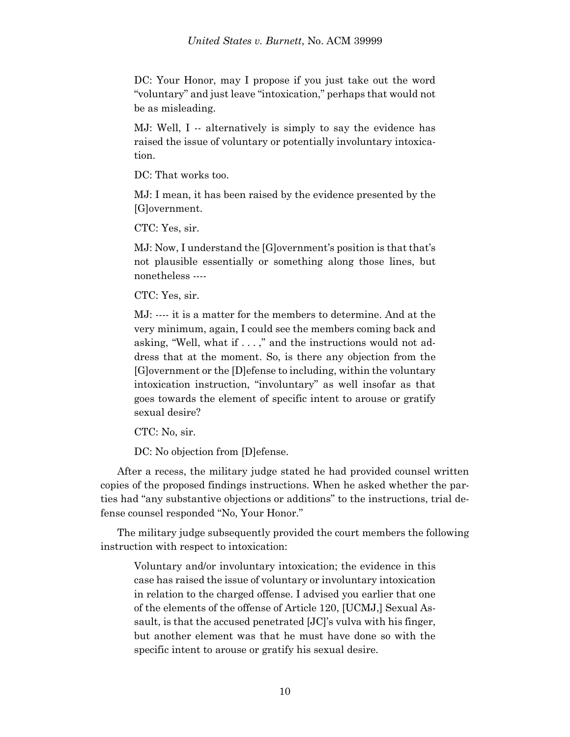DC: Your Honor, may I propose if you just take out the word "voluntary" and just leave "intoxication," perhaps that would not be as misleading.

MJ: Well, I -- alternatively is simply to say the evidence has raised the issue of voluntary or potentially involuntary intoxication.

DC: That works too.

MJ: I mean, it has been raised by the evidence presented by the [G]overnment.

CTC: Yes, sir.

MJ: Now, I understand the [G]overnment's position is that that's not plausible essentially or something along those lines, but nonetheless ----

CTC: Yes, sir.

MJ: ---- it is a matter for the members to determine. And at the very minimum, again, I could see the members coming back and asking, "Well, what if . . . ," and the instructions would not address that at the moment. So, is there any objection from the [G]overnment or the [D]efense to including, within the voluntary intoxication instruction, "involuntary" as well insofar as that goes towards the element of specific intent to arouse or gratify sexual desire?

CTC: No, sir.

DC: No objection from [D]efense.

After a recess, the military judge stated he had provided counsel written copies of the proposed findings instructions. When he asked whether the parties had "any substantive objections or additions" to the instructions, trial defense counsel responded "No, Your Honor."

The military judge subsequently provided the court members the following instruction with respect to intoxication:

Voluntary and/or involuntary intoxication; the evidence in this case has raised the issue of voluntary or involuntary intoxication in relation to the charged offense. I advised you earlier that one of the elements of the offense of Article 120, [UCMJ,] Sexual Assault, is that the accused penetrated [JC]'s vulva with his finger, but another element was that he must have done so with the specific intent to arouse or gratify his sexual desire.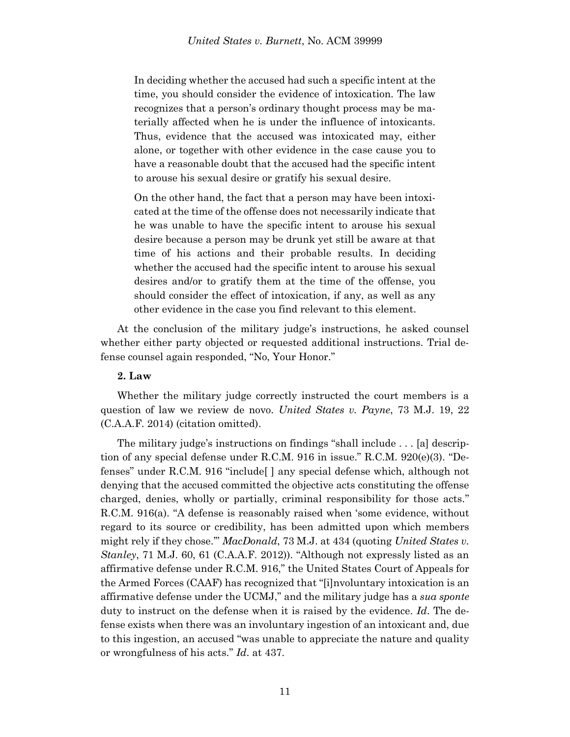In deciding whether the accused had such a specific intent at the time, you should consider the evidence of intoxication. The law recognizes that a person's ordinary thought process may be materially affected when he is under the influence of intoxicants. Thus, evidence that the accused was intoxicated may, either alone, or together with other evidence in the case cause you to have a reasonable doubt that the accused had the specific intent to arouse his sexual desire or gratify his sexual desire.

On the other hand, the fact that a person may have been intoxicated at the time of the offense does not necessarily indicate that he was unable to have the specific intent to arouse his sexual desire because a person may be drunk yet still be aware at that time of his actions and their probable results. In deciding whether the accused had the specific intent to arouse his sexual desires and/or to gratify them at the time of the offense, you should consider the effect of intoxication, if any, as well as any other evidence in the case you find relevant to this element.

At the conclusion of the military judge's instructions, he asked counsel whether either party objected or requested additional instructions. Trial defense counsel again responded, "No, Your Honor."

# **2. Law**

Whether the military judge correctly instructed the court members is a question of law we review de novo. *United States v. Payne*, 73 M.J. 19, 22 (C.A.A.F. 2014) (citation omitted).

The military judge's instructions on findings "shall include . . . [a] description of any special defense under R.C.M. 916 in issue." R.C.M. 920(e)(3). "Defenses" under R.C.M. 916 "include[ ] any special defense which, although not denying that the accused committed the objective acts constituting the offense charged, denies, wholly or partially, criminal responsibility for those acts." R.C.M. 916(a). "A defense is reasonably raised when 'some evidence, without regard to its source or credibility, has been admitted upon which members might rely if they chose.'" *MacDonald*, 73 M.J. at 434 (quoting *United States v. Stanley*, 71 M.J. 60, 61 (C.A.A.F. 2012)). "Although not expressly listed as an affirmative defense under R.C.M. 916," the United States Court of Appeals for the Armed Forces (CAAF) has recognized that "[i]nvoluntary intoxication is an affirmative defense under the UCMJ," and the military judge has a *sua sponte* duty to instruct on the defense when it is raised by the evidence. *Id*. The defense exists when there was an involuntary ingestion of an intoxicant and, due to this ingestion, an accused "was unable to appreciate the nature and quality or wrongfulness of his acts." *Id*. at 437.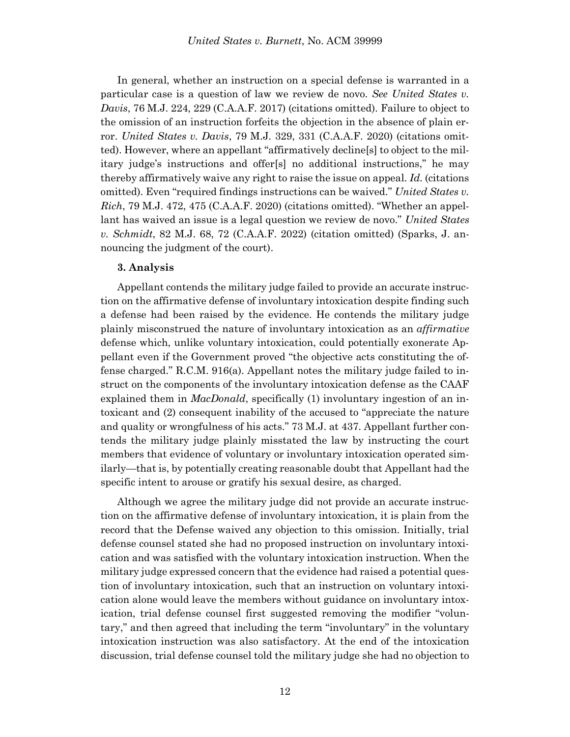In general, whether an instruction on a special defense is warranted in a particular case is a question of law we review de novo. *See United States v. Davis*, 76 M.J. 224, 229 (C.A.A.F. 2017) (citations omitted). Failure to object to the omission of an instruction forfeits the objection in the absence of plain error. *United States v. Davis*, 79 M.J. 329, 331 (C.A.A.F. 2020) (citations omitted). However, where an appellant "affirmatively decline[s] to object to the military judge's instructions and offer[s] no additional instructions," he may thereby affirmatively waive any right to raise the issue on appeal. *Id.* (citations omitted). Even "required findings instructions can be waived." *United States v. Rich*, 79 M.J. 472, 475 (C.A.A.F. 2020) (citations omitted). "Whether an appellant has waived an issue is a legal question we review de novo." *United States v. Schmidt*, 82 M.J. 68, 72 (C.A.A.F. 2022) (citation omitted) (Sparks, J. announcing the judgment of the court).

#### **3. Analysis**

Appellant contends the military judge failed to provide an accurate instruction on the affirmative defense of involuntary intoxication despite finding such a defense had been raised by the evidence. He contends the military judge plainly misconstrued the nature of involuntary intoxication as an *affirmative* defense which, unlike voluntary intoxication, could potentially exonerate Appellant even if the Government proved "the objective acts constituting the offense charged." R.C.M. 916(a). Appellant notes the military judge failed to instruct on the components of the involuntary intoxication defense as the CAAF explained them in *MacDonald*, specifically (1) involuntary ingestion of an intoxicant and (2) consequent inability of the accused to "appreciate the nature and quality or wrongfulness of his acts." 73 M.J. at 437. Appellant further contends the military judge plainly misstated the law by instructing the court members that evidence of voluntary or involuntary intoxication operated similarly—that is, by potentially creating reasonable doubt that Appellant had the specific intent to arouse or gratify his sexual desire, as charged.

Although we agree the military judge did not provide an accurate instruction on the affirmative defense of involuntary intoxication, it is plain from the record that the Defense waived any objection to this omission. Initially, trial defense counsel stated she had no proposed instruction on involuntary intoxication and was satisfied with the voluntary intoxication instruction. When the military judge expressed concern that the evidence had raised a potential question of involuntary intoxication, such that an instruction on voluntary intoxication alone would leave the members without guidance on involuntary intoxication, trial defense counsel first suggested removing the modifier "voluntary," and then agreed that including the term "involuntary" in the voluntary intoxication instruction was also satisfactory. At the end of the intoxication discussion, trial defense counsel told the military judge she had no objection to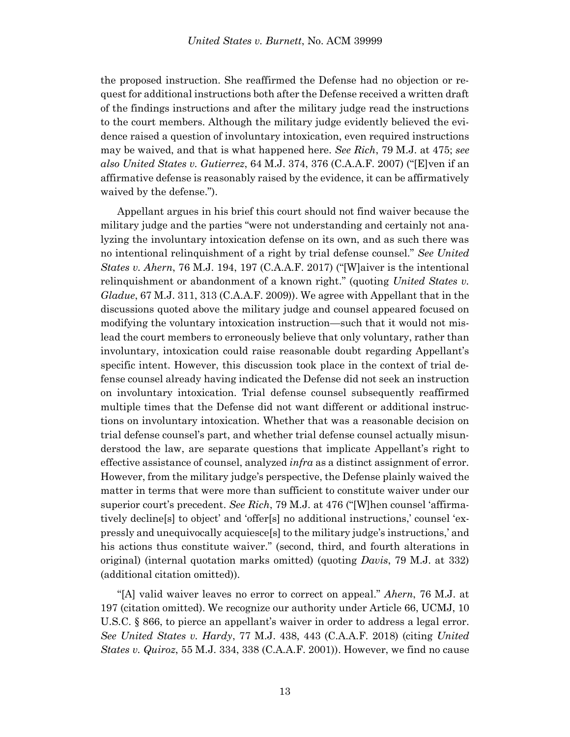the proposed instruction. She reaffirmed the Defense had no objection or request for additional instructions both after the Defense received a written draft of the findings instructions and after the military judge read the instructions to the court members. Although the military judge evidently believed the evidence raised a question of involuntary intoxication, even required instructions may be waived, and that is what happened here. *See Rich*, 79 M.J. at 475; *see also United States v. Gutierrez*, 64 M.J. 374, 376 (C.A.A.F. 2007) ("[E]ven if an affirmative defense is reasonably raised by the evidence, it can be affirmatively waived by the defense.").

Appellant argues in his brief this court should not find waiver because the military judge and the parties "were not understanding and certainly not analyzing the involuntary intoxication defense on its own, and as such there was no intentional relinquishment of a right by trial defense counsel." *See United States v. Ahern*, 76 M.J. 194, 197 (C.A.A.F. 2017) ("[W]aiver is the intentional relinquishment or abandonment of a known right." (quoting *United States v. Gladue*, 67 M.J. 311, 313 (C.A.A.F. 2009)). We agree with Appellant that in the discussions quoted above the military judge and counsel appeared focused on modifying the voluntary intoxication instruction—such that it would not mislead the court members to erroneously believe that only voluntary, rather than involuntary, intoxication could raise reasonable doubt regarding Appellant's specific intent. However, this discussion took place in the context of trial defense counsel already having indicated the Defense did not seek an instruction on involuntary intoxication. Trial defense counsel subsequently reaffirmed multiple times that the Defense did not want different or additional instructions on involuntary intoxication. Whether that was a reasonable decision on trial defense counsel's part, and whether trial defense counsel actually misunderstood the law, are separate questions that implicate Appellant's right to effective assistance of counsel, analyzed *infra* as a distinct assignment of error. However, from the military judge's perspective, the Defense plainly waived the matter in terms that were more than sufficient to constitute waiver under our superior court's precedent. *See Rich*, 79 M.J. at 476 ("[W]hen counsel 'affirmatively decline[s] to object' and 'offer[s] no additional instructions,' counsel 'expressly and unequivocally acquiesce[s] to the military judge's instructions,' and his actions thus constitute waiver." (second, third, and fourth alterations in original) (internal quotation marks omitted) (quoting *Davis*, 79 M.J. at 332) (additional citation omitted)).

"[A] valid waiver leaves no error to correct on appeal." *Ahern*, 76 M.J. at 197 (citation omitted). We recognize our authority under Article 66, UCMJ, 10 U.S.C. § 866, to pierce an appellant's waiver in order to address a legal error. *See United States v. Hardy*, 77 M.J. 438, 443 (C.A.A.F. 2018) (citing *United States v. Quiroz*, 55 M.J. 334, 338 (C.A.A.F. 2001)). However, we find no cause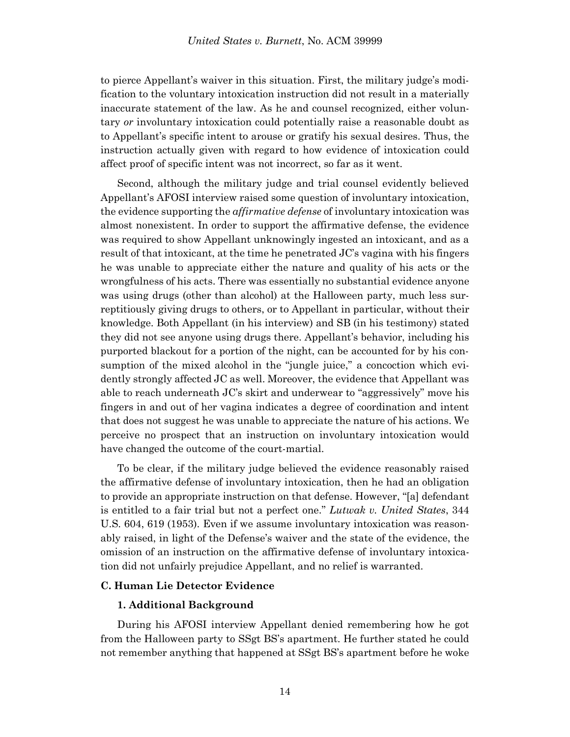to pierce Appellant's waiver in this situation. First, the military judge's modification to the voluntary intoxication instruction did not result in a materially inaccurate statement of the law. As he and counsel recognized, either voluntary *or* involuntary intoxication could potentially raise a reasonable doubt as to Appellant's specific intent to arouse or gratify his sexual desires. Thus, the instruction actually given with regard to how evidence of intoxication could affect proof of specific intent was not incorrect, so far as it went.

Second, although the military judge and trial counsel evidently believed Appellant's AFOSI interview raised some question of involuntary intoxication, the evidence supporting the *affirmative defense* of involuntary intoxication was almost nonexistent. In order to support the affirmative defense, the evidence was required to show Appellant unknowingly ingested an intoxicant, and as a result of that intoxicant, at the time he penetrated JC's vagina with his fingers he was unable to appreciate either the nature and quality of his acts or the wrongfulness of his acts. There was essentially no substantial evidence anyone was using drugs (other than alcohol) at the Halloween party, much less surreptitiously giving drugs to others, or to Appellant in particular, without their knowledge. Both Appellant (in his interview) and SB (in his testimony) stated they did not see anyone using drugs there. Appellant's behavior, including his purported blackout for a portion of the night, can be accounted for by his consumption of the mixed alcohol in the "jungle juice," a concoction which evidently strongly affected JC as well. Moreover, the evidence that Appellant was able to reach underneath JC's skirt and underwear to "aggressively" move his fingers in and out of her vagina indicates a degree of coordination and intent that does not suggest he was unable to appreciate the nature of his actions. We perceive no prospect that an instruction on involuntary intoxication would have changed the outcome of the court-martial.

To be clear, if the military judge believed the evidence reasonably raised the affirmative defense of involuntary intoxication, then he had an obligation to provide an appropriate instruction on that defense. However, "[a] defendant is entitled to a fair trial but not a perfect one." *Lutwak v. United States*, 344 U.S. 604, 619 (1953). Even if we assume involuntary intoxication was reasonably raised, in light of the Defense's waiver and the state of the evidence, the omission of an instruction on the affirmative defense of involuntary intoxication did not unfairly prejudice Appellant, and no relief is warranted.

# **C. Human Lie Detector Evidence**

## **1. Additional Background**

During his AFOSI interview Appellant denied remembering how he got from the Halloween party to SSgt BS's apartment. He further stated he could not remember anything that happened at SSgt BS's apartment before he woke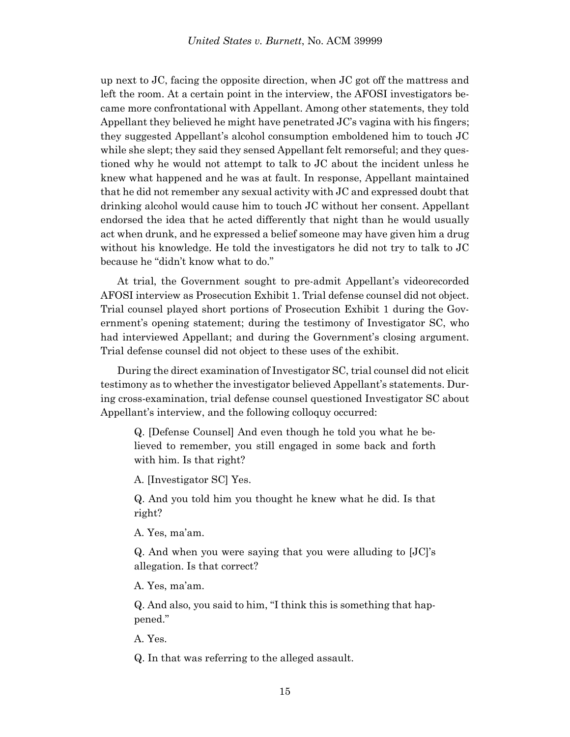up next to JC, facing the opposite direction, when JC got off the mattress and left the room. At a certain point in the interview, the AFOSI investigators became more confrontational with Appellant. Among other statements, they told Appellant they believed he might have penetrated  $JC$ 's vagina with his fingers; they suggested Appellant's alcohol consumption emboldened him to touch JC while she slept; they said they sensed Appellant felt remorseful; and they questioned why he would not attempt to talk to JC about the incident unless he knew what happened and he was at fault. In response, Appellant maintained that he did not remember any sexual activity with JC and expressed doubt that drinking alcohol would cause him to touch JC without her consent. Appellant endorsed the idea that he acted differently that night than he would usually act when drunk, and he expressed a belief someone may have given him a drug without his knowledge. He told the investigators he did not try to talk to JC because he "didn't know what to do."

At trial, the Government sought to pre-admit Appellant's videorecorded AFOSI interview as Prosecution Exhibit 1. Trial defense counsel did not object. Trial counsel played short portions of Prosecution Exhibit 1 during the Government's opening statement; during the testimony of Investigator SC, who had interviewed Appellant; and during the Government's closing argument. Trial defense counsel did not object to these uses of the exhibit.

During the direct examination of Investigator SC, trial counsel did not elicit testimony as to whether the investigator believed Appellant's statements. During cross-examination, trial defense counsel questioned Investigator SC about Appellant's interview, and the following colloquy occurred:

Q. [Defense Counsel] And even though he told you what he believed to remember, you still engaged in some back and forth with him. Is that right?

A. [Investigator SC] Yes.

Q. And you told him you thought he knew what he did. Is that right?

A. Yes, ma'am.

Q. And when you were saying that you were alluding to [JC]'s allegation. Is that correct?

A. Yes, ma'am.

Q. And also, you said to him, "I think this is something that happened."

A. Yes.

Q. In that was referring to the alleged assault.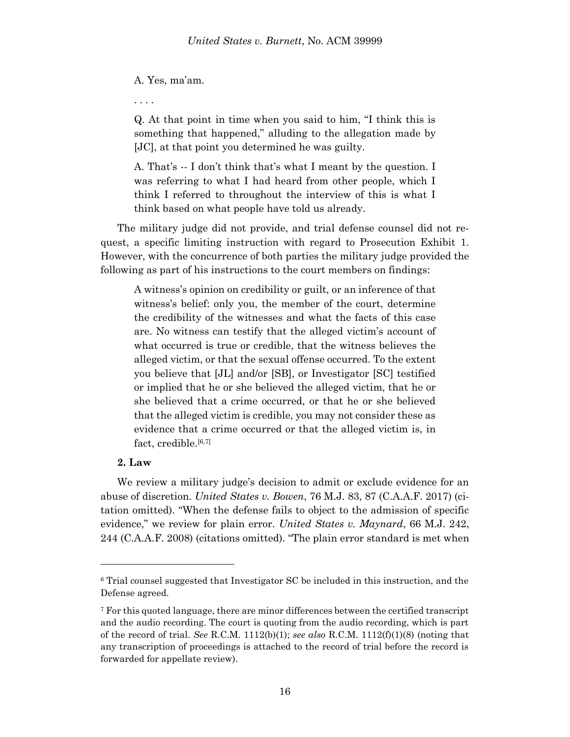### A. Yes, ma'am.

. . . .

Q. At that point in time when you said to him, "I think this is something that happened," alluding to the allegation made by [JC], at that point you determined he was guilty.

A. That's -- I don't think that's what I meant by the question. I was referring to what I had heard from other people, which I think I referred to throughout the interview of this is what I think based on what people have told us already.

The military judge did not provide, and trial defense counsel did not request, a specific limiting instruction with regard to Prosecution Exhibit 1. However, with the concurrence of both parties the military judge provided the following as part of his instructions to the court members on findings:

A witness's opinion on credibility or guilt, or an inference of that witness's belief: only you, the member of the court, determine the credibility of the witnesses and what the facts of this case are. No witness can testify that the alleged victim's account of what occurred is true or credible, that the witness believes the alleged victim, or that the sexual offense occurred. To the extent you believe that [JL] and/or [SB], or Investigator [SC] testified or implied that he or she believed the alleged victim, that he or she believed that a crime occurred, or that he or she believed that the alleged victim is credible, you may not consider these as evidence that a crime occurred or that the alleged victim is, in fact, credible.<sup>[6,7]</sup>

# **2. Law**

l

We review a military judge's decision to admit or exclude evidence for an abuse of discretion. *United States v. Bowen*, 76 M.J. 83, 87 (C.A.A.F. 2017) (citation omitted). "When the defense fails to object to the admission of specific evidence," we review for plain error. *United States v. Maynard*, 66 M.J. 242, 244 (C.A.A.F. 2008) (citations omitted). "The plain error standard is met when

<sup>6</sup> Trial counsel suggested that Investigator SC be included in this instruction, and the Defense agreed.

<sup>7</sup> For this quoted language, there are minor differences between the certified transcript and the audio recording. The court is quoting from the audio recording, which is part of the record of trial. *See* R.C.M. 1112(b)(1); *see also* R.C.M. 1112(f)(1)(8) (noting that any transcription of proceedings is attached to the record of trial before the record is forwarded for appellate review).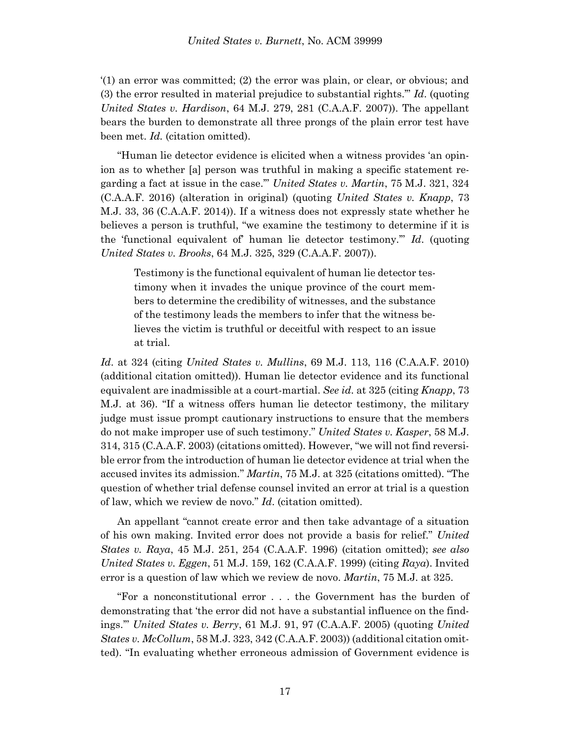'(1) an error was committed; (2) the error was plain, or clear, or obvious; and (3) the error resulted in material prejudice to substantial rights.'" *Id*. (quoting *United States v. Hardison*, 64 M.J. 279, 281 (C.A.A.F. 2007)). The appellant bears the burden to demonstrate all three prongs of the plain error test have been met. *Id.* (citation omitted).

"Human lie detector evidence is elicited when a witness provides 'an opinion as to whether [a] person was truthful in making a specific statement regarding a fact at issue in the case.'" *United States v. Martin*, 75 M.J. 321, 324 (C.A.A.F. 2016) (alteration in original) (quoting *United States v. Knapp*, 73 M.J. 33, 36 (C.A.A.F. 2014)). If a witness does not expressly state whether he believes a person is truthful, "we examine the testimony to determine if it is the 'functional equivalent of' human lie detector testimony.'" *Id*. (quoting *United States v. Brooks*, 64 M.J. 325, 329 (C.A.A.F. 2007)).

Testimony is the functional equivalent of human lie detector testimony when it invades the unique province of the court members to determine the credibility of witnesses, and the substance of the testimony leads the members to infer that the witness believes the victim is truthful or deceitful with respect to an issue at trial.

*Id*. at 324 (citing *United States v. Mullins*, 69 M.J. 113, 116 (C.A.A.F. 2010) (additional citation omitted)). Human lie detector evidence and its functional equivalent are inadmissible at a court-martial. *See id*. at 325 (citing *Knapp*, 73 M.J. at 36). "If a witness offers human lie detector testimony, the military judge must issue prompt cautionary instructions to ensure that the members do not make improper use of such testimony." *United States v. Kasper*, 58 M.J. 314, 315 (C.A.A.F. 2003) (citations omitted). However, "we will not find reversible error from the introduction of human lie detector evidence at trial when the accused invites its admission." *Martin*, 75 M.J. at 325 (citations omitted). "The question of whether trial defense counsel invited an error at trial is a question of law, which we review de novo." *Id*. (citation omitted).

An appellant "cannot create error and then take advantage of a situation of his own making. Invited error does not provide a basis for relief." *United States v. Raya*, 45 M.J. 251, 254 (C.A.A.F. 1996) (citation omitted); *see also United States v. Eggen*, 51 M.J. 159, 162 (C.A.A.F. 1999) (citing *Raya*). Invited error is a question of law which we review de novo. *Martin*, 75 M.J. at 325.

"For a nonconstitutional error . . . the Government has the burden of demonstrating that 'the error did not have a substantial influence on the findings.'" *United States v. Berry*, 61 M.J. 91, 97 (C.A.A.F. 2005) (quoting *United States v. McCollum*, 58 M.J. 323, 342 (C.A.A.F. 2003)) (additional citation omitted). "In evaluating whether erroneous admission of Government evidence is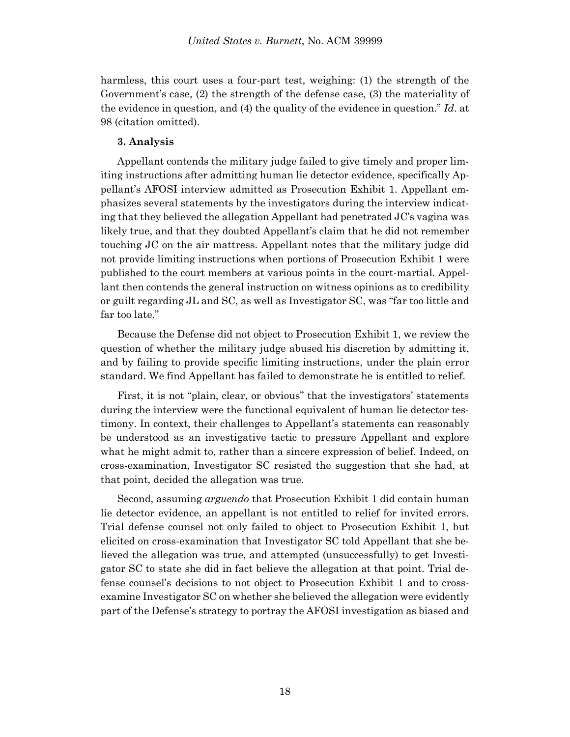harmless, this court uses a four-part test, weighing: (1) the strength of the Government's case, (2) the strength of the defense case, (3) the materiality of the evidence in question, and (4) the quality of the evidence in question." *Id*. at 98 (citation omitted).

# **3. Analysis**

Appellant contends the military judge failed to give timely and proper limiting instructions after admitting human lie detector evidence, specifically Appellant's AFOSI interview admitted as Prosecution Exhibit 1. Appellant emphasizes several statements by the investigators during the interview indicating that they believed the allegation Appellant had penetrated JC's vagina was likely true, and that they doubted Appellant's claim that he did not remember touching JC on the air mattress. Appellant notes that the military judge did not provide limiting instructions when portions of Prosecution Exhibit 1 were published to the court members at various points in the court-martial. Appellant then contends the general instruction on witness opinions as to credibility or guilt regarding JL and SC, as well as Investigator SC, was "far too little and far too late."

Because the Defense did not object to Prosecution Exhibit 1, we review the question of whether the military judge abused his discretion by admitting it, and by failing to provide specific limiting instructions, under the plain error standard. We find Appellant has failed to demonstrate he is entitled to relief.

First, it is not "plain, clear, or obvious" that the investigators' statements during the interview were the functional equivalent of human lie detector testimony. In context, their challenges to Appellant's statements can reasonably be understood as an investigative tactic to pressure Appellant and explore what he might admit to, rather than a sincere expression of belief. Indeed, on cross-examination, Investigator SC resisted the suggestion that she had, at that point, decided the allegation was true.

Second, assuming *arguendo* that Prosecution Exhibit 1 did contain human lie detector evidence, an appellant is not entitled to relief for invited errors. Trial defense counsel not only failed to object to Prosecution Exhibit 1, but elicited on cross-examination that Investigator SC told Appellant that she believed the allegation was true, and attempted (unsuccessfully) to get Investigator SC to state she did in fact believe the allegation at that point. Trial defense counsel's decisions to not object to Prosecution Exhibit 1 and to crossexamine Investigator SC on whether she believed the allegation were evidently part of the Defense's strategy to portray the AFOSI investigation as biased and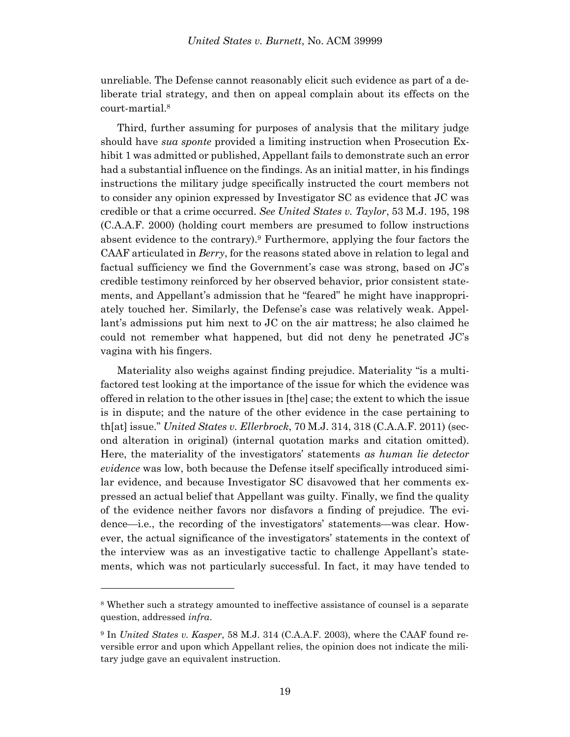unreliable. The Defense cannot reasonably elicit such evidence as part of a deliberate trial strategy, and then on appeal complain about its effects on the court-martial. 8

Third, further assuming for purposes of analysis that the military judge should have *sua sponte* provided a limiting instruction when Prosecution Exhibit 1 was admitted or published, Appellant fails to demonstrate such an error had a substantial influence on the findings. As an initial matter, in his findings instructions the military judge specifically instructed the court members not to consider any opinion expressed by Investigator SC as evidence that JC was credible or that a crime occurred. *See United States v. Taylor*, 53 M.J. 195, 198 (C.A.A.F. 2000) (holding court members are presumed to follow instructions absent evidence to the contrary).<sup>9</sup> Furthermore, applying the four factors the CAAF articulated in *Berry*, for the reasons stated above in relation to legal and factual sufficiency we find the Government's case was strong, based on JC's credible testimony reinforced by her observed behavior, prior consistent statements, and Appellant's admission that he "feared" he might have inappropriately touched her. Similarly, the Defense's case was relatively weak. Appellant's admissions put him next to JC on the air mattress; he also claimed he could not remember what happened, but did not deny he penetrated JC's vagina with his fingers.

Materiality also weighs against finding prejudice. Materiality "is a multifactored test looking at the importance of the issue for which the evidence was offered in relation to the other issues in [the] case; the extent to which the issue is in dispute; and the nature of the other evidence in the case pertaining to th[at] issue." *United States v. Ellerbrock*, 70 M.J. 314, 318 (C.A.A.F. 2011) (second alteration in original) (internal quotation marks and citation omitted). Here, the materiality of the investigators' statements *as human lie detector evidence* was low, both because the Defense itself specifically introduced similar evidence, and because Investigator SC disavowed that her comments expressed an actual belief that Appellant was guilty. Finally, we find the quality of the evidence neither favors nor disfavors a finding of prejudice. The evidence—i.e., the recording of the investigators' statements—was clear. However, the actual significance of the investigators' statements in the context of the interview was as an investigative tactic to challenge Appellant's statements, which was not particularly successful. In fact, it may have tended to

l

<sup>8</sup> Whether such a strategy amounted to ineffective assistance of counsel is a separate question, addressed *infra*.

<sup>9</sup> In *United States v. Kasper*, 58 M.J. 314 (C.A.A.F. 2003), where the CAAF found reversible error and upon which Appellant relies, the opinion does not indicate the military judge gave an equivalent instruction.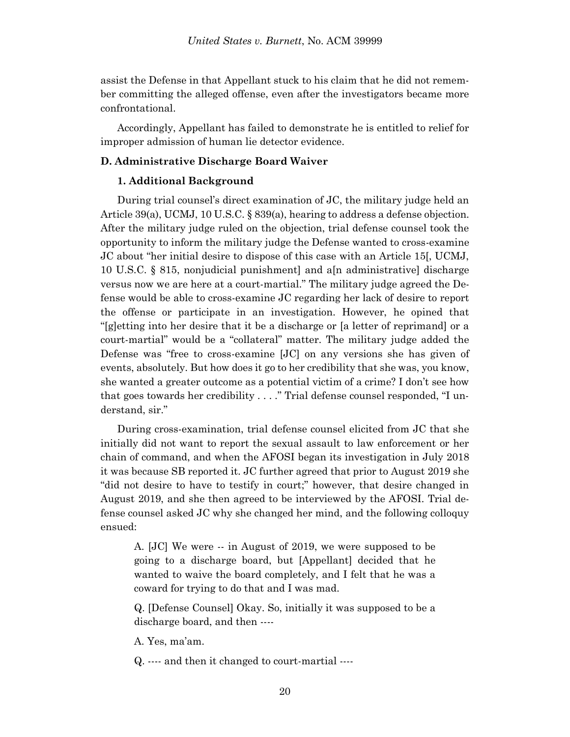assist the Defense in that Appellant stuck to his claim that he did not remember committing the alleged offense, even after the investigators became more confrontational.

Accordingly, Appellant has failed to demonstrate he is entitled to relief for improper admission of human lie detector evidence.

# **D. Administrative Discharge Board Waiver**

## **1. Additional Background**

During trial counsel's direct examination of JC, the military judge held an Article 39(a), UCMJ, 10 U.S.C. § 839(a), hearing to address a defense objection. After the military judge ruled on the objection, trial defense counsel took the opportunity to inform the military judge the Defense wanted to cross-examine JC about "her initial desire to dispose of this case with an Article 15[, UCMJ, 10 U.S.C. § 815, nonjudicial punishment] and a[n administrative] discharge versus now we are here at a court-martial." The military judge agreed the Defense would be able to cross-examine JC regarding her lack of desire to report the offense or participate in an investigation. However, he opined that "[g]etting into her desire that it be a discharge or [a letter of reprimand] or a court-martial" would be a "collateral" matter. The military judge added the Defense was "free to cross-examine [JC] on any versions she has given of events, absolutely. But how does it go to her credibility that she was, you know, she wanted a greater outcome as a potential victim of a crime? I don't see how that goes towards her credibility . . . ." Trial defense counsel responded, "I understand, sir."

During cross-examination, trial defense counsel elicited from JC that she initially did not want to report the sexual assault to law enforcement or her chain of command, and when the AFOSI began its investigation in July 2018 it was because SB reported it. JC further agreed that prior to August 2019 she "did not desire to have to testify in court;" however, that desire changed in August 2019, and she then agreed to be interviewed by the AFOSI. Trial defense counsel asked JC why she changed her mind, and the following colloquy ensued:

A. [JC] We were -- in August of 2019, we were supposed to be going to a discharge board, but [Appellant] decided that he wanted to waive the board completely, and I felt that he was a coward for trying to do that and I was mad.

Q. [Defense Counsel] Okay. So, initially it was supposed to be a discharge board, and then ----

A. Yes, ma'am.

Q. ---- and then it changed to court-martial ----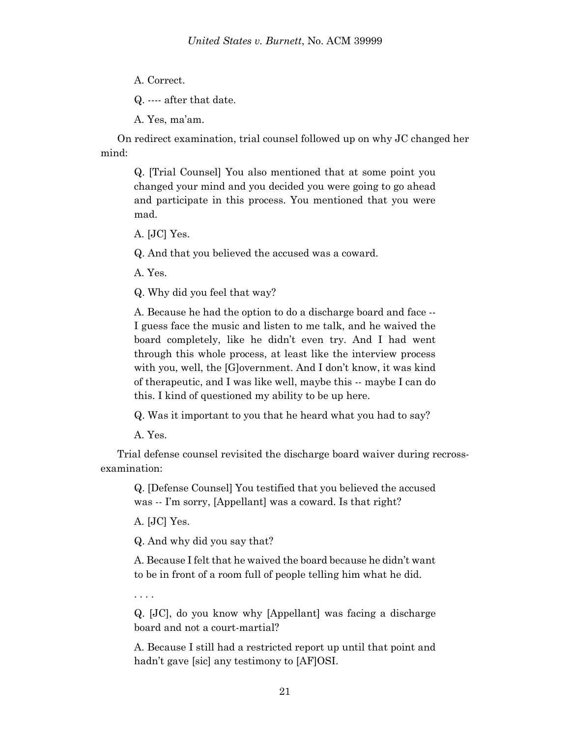A. Correct.

Q. ---- after that date.

A. Yes, ma'am.

On redirect examination, trial counsel followed up on why JC changed her mind:

Q. [Trial Counsel] You also mentioned that at some point you changed your mind and you decided you were going to go ahead and participate in this process. You mentioned that you were mad.

A. [JC] Yes.

Q. And that you believed the accused was a coward.

A. Yes.

Q. Why did you feel that way?

A. Because he had the option to do a discharge board and face -- I guess face the music and listen to me talk, and he waived the board completely, like he didn't even try. And I had went through this whole process, at least like the interview process with you, well, the [G]overnment. And I don't know, it was kind of therapeutic, and I was like well, maybe this -- maybe I can do this. I kind of questioned my ability to be up here.

Q. Was it important to you that he heard what you had to say?

A. Yes.

Trial defense counsel revisited the discharge board waiver during recrossexamination:

Q. [Defense Counsel] You testified that you believed the accused was -- I'm sorry, [Appellant] was a coward. Is that right?

A. [JC] Yes.

Q. And why did you say that?

A. Because I felt that he waived the board because he didn't want to be in front of a room full of people telling him what he did.

. . . .

Q. [JC], do you know why [Appellant] was facing a discharge board and not a court-martial?

A. Because I still had a restricted report up until that point and hadn't gave [sic] any testimony to [AF]OSI.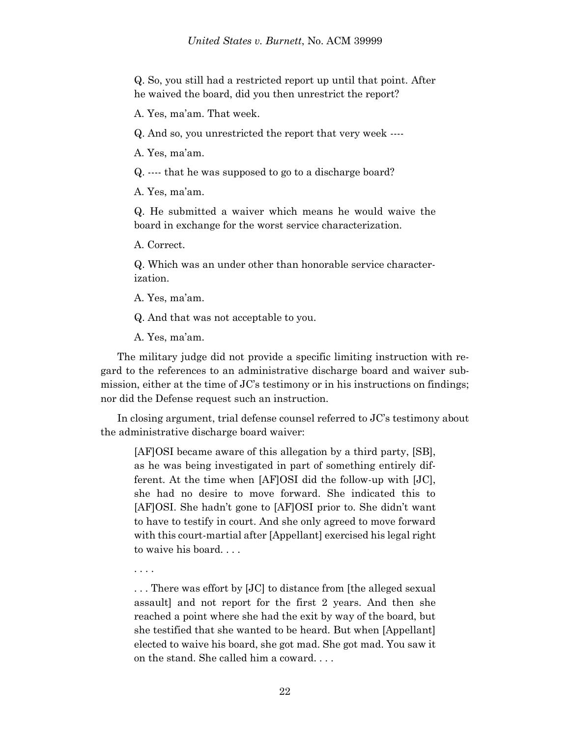Q. So, you still had a restricted report up until that point. After he waived the board, did you then unrestrict the report?

A. Yes, ma'am. That week.

Q. And so, you unrestricted the report that very week ----

A. Yes, ma'am.

Q. ---- that he was supposed to go to a discharge board?

A. Yes, ma'am.

Q. He submitted a waiver which means he would waive the board in exchange for the worst service characterization.

A. Correct.

Q. Which was an under other than honorable service characterization.

A. Yes, ma'am.

Q. And that was not acceptable to you.

A. Yes, ma'am.

The military judge did not provide a specific limiting instruction with regard to the references to an administrative discharge board and waiver submission, either at the time of JC's testimony or in his instructions on findings; nor did the Defense request such an instruction.

In closing argument, trial defense counsel referred to JC's testimony about the administrative discharge board waiver:

[AF]OSI became aware of this allegation by a third party, [SB], as he was being investigated in part of something entirely different. At the time when [AF]OSI did the follow-up with [JC], she had no desire to move forward. She indicated this to [AF]OSI. She hadn't gone to [AF]OSI prior to. She didn't want to have to testify in court. And she only agreed to move forward with this court-martial after [Appellant] exercised his legal right to waive his board. . . .

. . . .

. . . There was effort by [JC] to distance from [the alleged sexual assault] and not report for the first 2 years. And then she reached a point where she had the exit by way of the board, but she testified that she wanted to be heard. But when [Appellant] elected to waive his board, she got mad. She got mad. You saw it on the stand. She called him a coward. . . .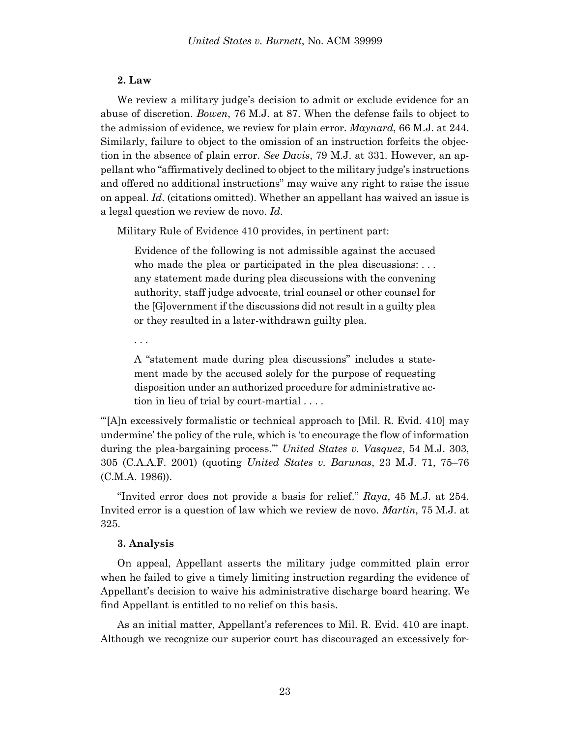# **2. Law**

We review a military judge's decision to admit or exclude evidence for an abuse of discretion. *Bowen*, 76 M.J. at 87. When the defense fails to object to the admission of evidence, we review for plain error. *Maynard*, 66 M.J. at 244. Similarly, failure to object to the omission of an instruction forfeits the objection in the absence of plain error. *See Davis*, 79 M.J. at 331. However, an appellant who "affirmatively declined to object to the military judge's instructions and offered no additional instructions" may waive any right to raise the issue on appeal. *Id*. (citations omitted). Whether an appellant has waived an issue is a legal question we review de novo. *Id*.

Military Rule of Evidence 410 provides, in pertinent part:

Evidence of the following is not admissible against the accused who made the plea or participated in the plea discussions: ... any statement made during plea discussions with the convening authority, staff judge advocate, trial counsel or other counsel for the [G]overnment if the discussions did not result in a guilty plea or they resulted in a later-withdrawn guilty plea.

. . .

A "statement made during plea discussions" includes a statement made by the accused solely for the purpose of requesting disposition under an authorized procedure for administrative action in lieu of trial by court-martial . . . .

"'[A]n excessively formalistic or technical approach to [Mil. R. Evid. 410] may undermine' the policy of the rule, which is 'to encourage the flow of information during the plea-bargaining process.'" *United States v. Vasquez*, 54 M.J. 303, 305 (C.A.A.F. 2001) (quoting *United States v. Barunas*, 23 M.J. 71, 75–76 (C.M.A. 1986)).

"Invited error does not provide a basis for relief." *Raya*, 45 M.J. at 254. Invited error is a question of law which we review de novo. *Martin*, 75 M.J. at 325.

# **3. Analysis**

On appeal, Appellant asserts the military judge committed plain error when he failed to give a timely limiting instruction regarding the evidence of Appellant's decision to waive his administrative discharge board hearing. We find Appellant is entitled to no relief on this basis.

As an initial matter, Appellant's references to Mil. R. Evid. 410 are inapt. Although we recognize our superior court has discouraged an excessively for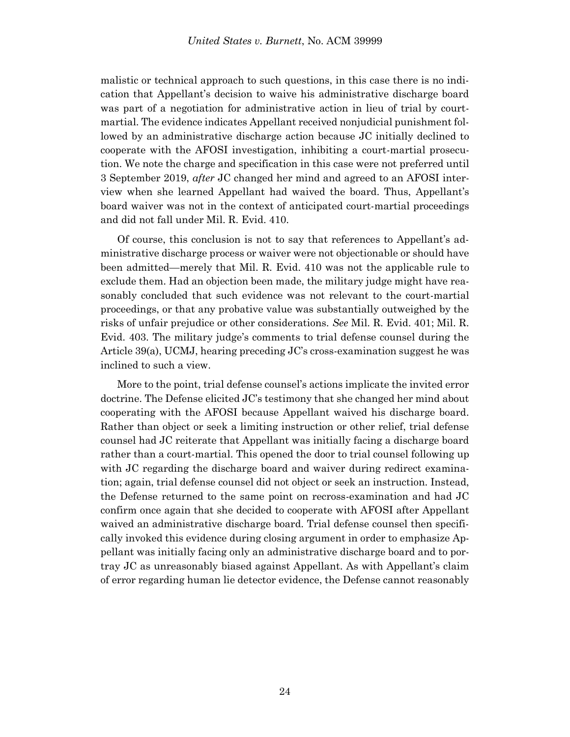malistic or technical approach to such questions, in this case there is no indication that Appellant's decision to waive his administrative discharge board was part of a negotiation for administrative action in lieu of trial by courtmartial. The evidence indicates Appellant received nonjudicial punishment followed by an administrative discharge action because JC initially declined to cooperate with the AFOSI investigation, inhibiting a court-martial prosecution. We note the charge and specification in this case were not preferred until 3 September 2019, *after* JC changed her mind and agreed to an AFOSI interview when she learned Appellant had waived the board. Thus, Appellant's board waiver was not in the context of anticipated court-martial proceedings and did not fall under Mil. R. Evid. 410.

Of course, this conclusion is not to say that references to Appellant's administrative discharge process or waiver were not objectionable or should have been admitted—merely that Mil. R. Evid. 410 was not the applicable rule to exclude them. Had an objection been made, the military judge might have reasonably concluded that such evidence was not relevant to the court-martial proceedings, or that any probative value was substantially outweighed by the risks of unfair prejudice or other considerations. *See* Mil. R. Evid. 401; Mil. R. Evid. 403. The military judge's comments to trial defense counsel during the Article 39(a), UCMJ, hearing preceding JC's cross-examination suggest he was inclined to such a view.

More to the point, trial defense counsel's actions implicate the invited error doctrine. The Defense elicited JC's testimony that she changed her mind about cooperating with the AFOSI because Appellant waived his discharge board. Rather than object or seek a limiting instruction or other relief, trial defense counsel had JC reiterate that Appellant was initially facing a discharge board rather than a court-martial. This opened the door to trial counsel following up with JC regarding the discharge board and waiver during redirect examination; again, trial defense counsel did not object or seek an instruction. Instead, the Defense returned to the same point on recross-examination and had JC confirm once again that she decided to cooperate with AFOSI after Appellant waived an administrative discharge board. Trial defense counsel then specifically invoked this evidence during closing argument in order to emphasize Appellant was initially facing only an administrative discharge board and to portray JC as unreasonably biased against Appellant. As with Appellant's claim of error regarding human lie detector evidence, the Defense cannot reasonably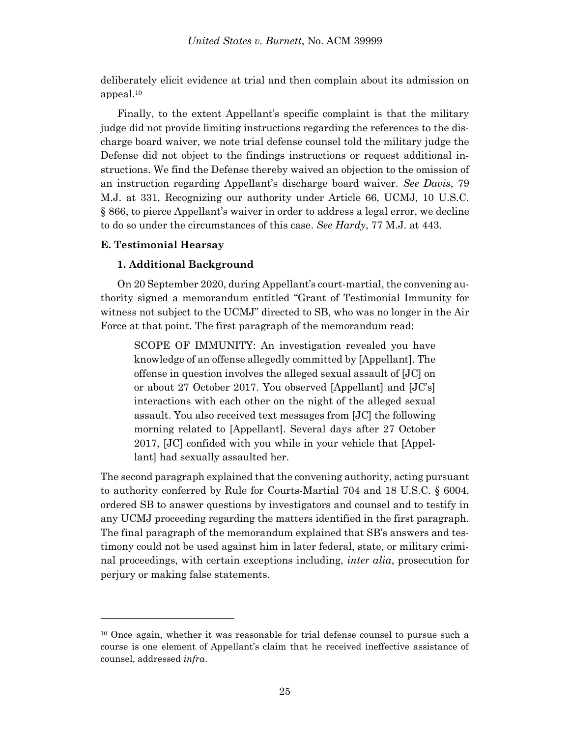deliberately elicit evidence at trial and then complain about its admission on appeal.<sup>10</sup>

Finally, to the extent Appellant's specific complaint is that the military judge did not provide limiting instructions regarding the references to the discharge board waiver, we note trial defense counsel told the military judge the Defense did not object to the findings instructions or request additional instructions. We find the Defense thereby waived an objection to the omission of an instruction regarding Appellant's discharge board waiver. *See Davis*, 79 M.J. at 331. Recognizing our authority under Article 66, UCMJ, 10 U.S.C. § 866, to pierce Appellant's waiver in order to address a legal error, we decline to do so under the circumstances of this case. *See Hardy*, 77 M.J. at 443.

# **E. Testimonial Hearsay**

l

# **1. Additional Background**

On 20 September 2020, during Appellant's court-martial, the convening authority signed a memorandum entitled "Grant of Testimonial Immunity for witness not subject to the UCMJ" directed to SB, who was no longer in the Air Force at that point. The first paragraph of the memorandum read:

SCOPE OF IMMUNITY: An investigation revealed you have knowledge of an offense allegedly committed by [Appellant]. The offense in question involves the alleged sexual assault of [JC] on or about 27 October 2017. You observed [Appellant] and [JC's] interactions with each other on the night of the alleged sexual assault. You also received text messages from [JC] the following morning related to [Appellant]. Several days after 27 October 2017, [JC] confided with you while in your vehicle that [Appellant] had sexually assaulted her.

The second paragraph explained that the convening authority, acting pursuant to authority conferred by Rule for Courts-Martial 704 and 18 U.S.C. § 6004, ordered SB to answer questions by investigators and counsel and to testify in any UCMJ proceeding regarding the matters identified in the first paragraph. The final paragraph of the memorandum explained that SB's answers and testimony could not be used against him in later federal, state, or military criminal proceedings, with certain exceptions including, *inter alia*, prosecution for perjury or making false statements.

<sup>10</sup> Once again, whether it was reasonable for trial defense counsel to pursue such a course is one element of Appellant's claim that he received ineffective assistance of counsel, addressed *infra*.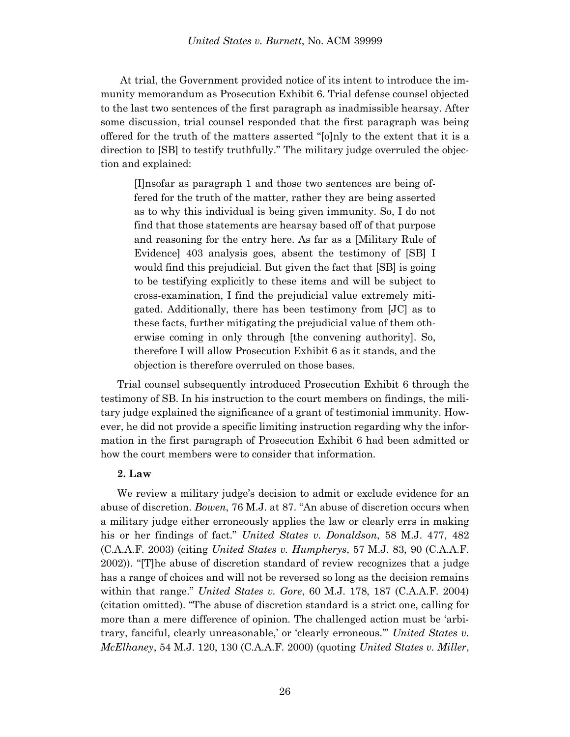At trial, the Government provided notice of its intent to introduce the immunity memorandum as Prosecution Exhibit 6. Trial defense counsel objected to the last two sentences of the first paragraph as inadmissible hearsay. After some discussion, trial counsel responded that the first paragraph was being offered for the truth of the matters asserted "[o]nly to the extent that it is a direction to [SB] to testify truthfully." The military judge overruled the objection and explained:

[I]nsofar as paragraph 1 and those two sentences are being offered for the truth of the matter, rather they are being asserted as to why this individual is being given immunity. So, I do not find that those statements are hearsay based off of that purpose and reasoning for the entry here. As far as a [Military Rule of Evidence] 403 analysis goes, absent the testimony of [SB] I would find this prejudicial. But given the fact that [SB] is going to be testifying explicitly to these items and will be subject to cross-examination, I find the prejudicial value extremely mitigated. Additionally, there has been testimony from [JC] as to these facts, further mitigating the prejudicial value of them otherwise coming in only through [the convening authority]. So, therefore I will allow Prosecution Exhibit 6 as it stands, and the objection is therefore overruled on those bases.

Trial counsel subsequently introduced Prosecution Exhibit 6 through the testimony of SB. In his instruction to the court members on findings, the military judge explained the significance of a grant of testimonial immunity. However, he did not provide a specific limiting instruction regarding why the information in the first paragraph of Prosecution Exhibit 6 had been admitted or how the court members were to consider that information.

### **2. Law**

We review a military judge's decision to admit or exclude evidence for an abuse of discretion. *Bowen*, 76 M.J. at 87. "An abuse of discretion occurs when a military judge either erroneously applies the law or clearly errs in making his or her findings of fact." *United States v. Donaldson*, 58 M.J. 477, 482 (C.A.A.F. 2003) (citing *United States v. Humpherys*, 57 M.J. 83, 90 (C.A.A.F. 2002)). "[T]he abuse of discretion standard of review recognizes that a judge has a range of choices and will not be reversed so long as the decision remains within that range." *United States v. Gore*, 60 M.J. 178, 187 (C.A.A.F. 2004) (citation omitted). "The abuse of discretion standard is a strict one, calling for more than a mere difference of opinion. The challenged action must be 'arbitrary, fanciful, clearly unreasonable,' or 'clearly erroneous.'" *United States v. McElhaney*, 54 M.J. 120, 130 (C.A.A.F. 2000) (quoting *United States v. Miller*,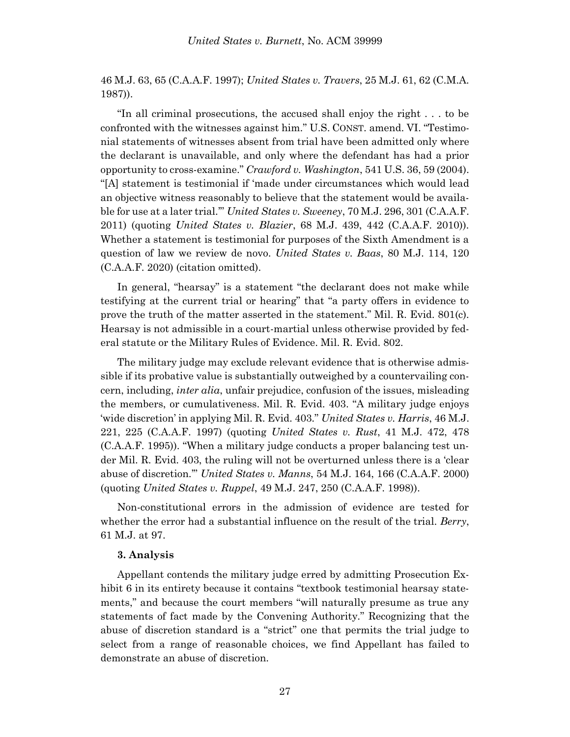46 M.J. 63, 65 (C.A.A.F. 1997); *United States v. Travers*, 25 M.J. 61, 62 (C.M.A. 1987)).

"In all criminal prosecutions, the accused shall enjoy the right . . . to be confronted with the witnesses against him." U.S. CONST. amend. VI. "Testimonial statements of witnesses absent from trial have been admitted only where the declarant is unavailable, and only where the defendant has had a prior opportunity to cross-examine." *Crawford v. Washington*, 541 U.S. 36, 59 (2004). "[A] statement is testimonial if 'made under circumstances which would lead an objective witness reasonably to believe that the statement would be available for use at a later trial.'" *United States v. Sweeney*, 70 M.J. 296, 301 (C.A.A.F. 2011) (quoting *United States v. Blazier*, 68 M.J. 439, 442 (C.A.A.F. 2010)). Whether a statement is testimonial for purposes of the Sixth Amendment is a question of law we review de novo. *United States v. Baas*, 80 M.J. 114, 120 (C.A.A.F. 2020) (citation omitted).

In general, "hearsay" is a statement "the declarant does not make while testifying at the current trial or hearing" that "a party offers in evidence to prove the truth of the matter asserted in the statement." Mil. R. Evid. 801(c). Hearsay is not admissible in a court-martial unless otherwise provided by federal statute or the Military Rules of Evidence. Mil. R. Evid. 802.

The military judge may exclude relevant evidence that is otherwise admissible if its probative value is substantially outweighed by a countervailing concern, including, *inter alia*, unfair prejudice, confusion of the issues, misleading the members, or cumulativeness. Mil. R. Evid. 403. "A military judge enjoys 'wide discretion' in applying Mil. R. Evid. 403." *United States v. Harris*, 46 M.J. 221, 225 (C.A.A.F. 1997) (quoting *United States v. Rust*, 41 M.J. 472, 478 (C.A.A.F. 1995)). "When a military judge conducts a proper balancing test under Mil. R. Evid. 403, the ruling will not be overturned unless there is a 'clear abuse of discretion.'" *United States v. Manns*, 54 M.J. 164, 166 (C.A.A.F. 2000) (quoting *United States v. Ruppel*, 49 M.J. 247, 250 (C.A.A.F. 1998)).

Non-constitutional errors in the admission of evidence are tested for whether the error had a substantial influence on the result of the trial. *Berry*, 61 M.J. at 97.

#### **3. Analysis**

Appellant contends the military judge erred by admitting Prosecution Exhibit 6 in its entirety because it contains "textbook testimonial hearsay statements," and because the court members "will naturally presume as true any statements of fact made by the Convening Authority." Recognizing that the abuse of discretion standard is a "strict" one that permits the trial judge to select from a range of reasonable choices, we find Appellant has failed to demonstrate an abuse of discretion.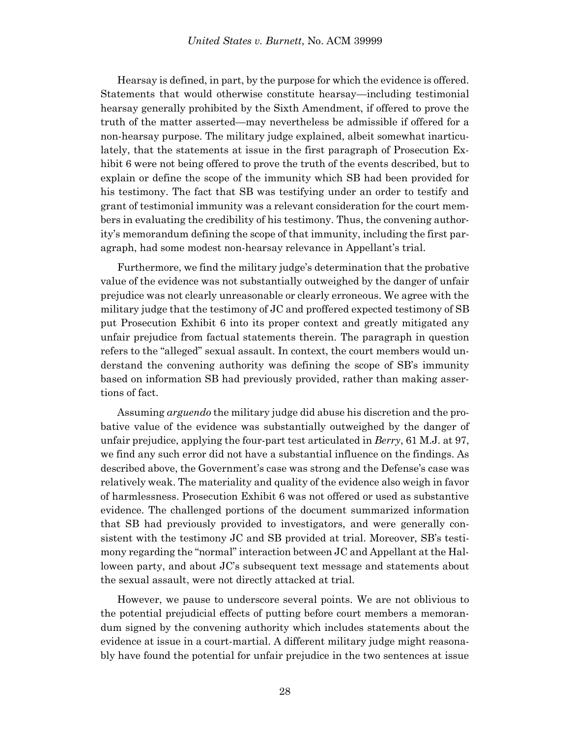Hearsay is defined, in part, by the purpose for which the evidence is offered. Statements that would otherwise constitute hearsay—including testimonial hearsay generally prohibited by the Sixth Amendment, if offered to prove the truth of the matter asserted—may nevertheless be admissible if offered for a non-hearsay purpose. The military judge explained, albeit somewhat inarticulately, that the statements at issue in the first paragraph of Prosecution Exhibit 6 were not being offered to prove the truth of the events described, but to explain or define the scope of the immunity which SB had been provided for his testimony. The fact that SB was testifying under an order to testify and grant of testimonial immunity was a relevant consideration for the court members in evaluating the credibility of his testimony. Thus, the convening authority's memorandum defining the scope of that immunity, including the first paragraph, had some modest non-hearsay relevance in Appellant's trial.

Furthermore, we find the military judge's determination that the probative value of the evidence was not substantially outweighed by the danger of unfair prejudice was not clearly unreasonable or clearly erroneous. We agree with the military judge that the testimony of JC and proffered expected testimony of SB put Prosecution Exhibit 6 into its proper context and greatly mitigated any unfair prejudice from factual statements therein. The paragraph in question refers to the "alleged" sexual assault. In context, the court members would understand the convening authority was defining the scope of SB's immunity based on information SB had previously provided, rather than making assertions of fact.

Assuming *arguendo* the military judge did abuse his discretion and the probative value of the evidence was substantially outweighed by the danger of unfair prejudice, applying the four-part test articulated in *Berry*, 61 M.J. at 97, we find any such error did not have a substantial influence on the findings. As described above, the Government's case was strong and the Defense's case was relatively weak. The materiality and quality of the evidence also weigh in favor of harmlessness. Prosecution Exhibit 6 was not offered or used as substantive evidence. The challenged portions of the document summarized information that SB had previously provided to investigators, and were generally consistent with the testimony JC and SB provided at trial. Moreover, SB's testimony regarding the "normal" interaction between JC and Appellant at the Halloween party, and about JC's subsequent text message and statements about the sexual assault, were not directly attacked at trial.

However, we pause to underscore several points. We are not oblivious to the potential prejudicial effects of putting before court members a memorandum signed by the convening authority which includes statements about the evidence at issue in a court-martial. A different military judge might reasonably have found the potential for unfair prejudice in the two sentences at issue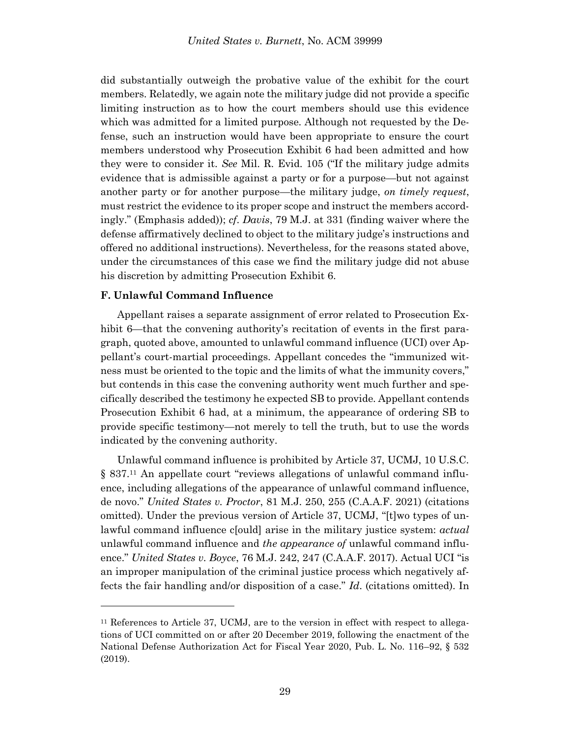did substantially outweigh the probative value of the exhibit for the court members. Relatedly, we again note the military judge did not provide a specific limiting instruction as to how the court members should use this evidence which was admitted for a limited purpose. Although not requested by the Defense, such an instruction would have been appropriate to ensure the court members understood why Prosecution Exhibit 6 had been admitted and how they were to consider it. *See* Mil. R. Evid. 105 ("If the military judge admits evidence that is admissible against a party or for a purpose—but not against another party or for another purpose—the military judge, *on timely request*, must restrict the evidence to its proper scope and instruct the members accordingly." (Emphasis added)); *cf*. *Davis*, 79 M.J. at 331 (finding waiver where the defense affirmatively declined to object to the military judge's instructions and offered no additional instructions). Nevertheless, for the reasons stated above, under the circumstances of this case we find the military judge did not abuse his discretion by admitting Prosecution Exhibit 6.

### **F. Unlawful Command Influence**

l

Appellant raises a separate assignment of error related to Prosecution Exhibit 6—that the convening authority's recitation of events in the first paragraph, quoted above, amounted to unlawful command influence (UCI) over Appellant's court-martial proceedings. Appellant concedes the "immunized witness must be oriented to the topic and the limits of what the immunity covers," but contends in this case the convening authority went much further and specifically described the testimony he expected SB to provide. Appellant contends Prosecution Exhibit 6 had, at a minimum, the appearance of ordering SB to provide specific testimony—not merely to tell the truth, but to use the words indicated by the convening authority.

Unlawful command influence is prohibited by Article 37, UCMJ, 10 U.S.C. § 837.<sup>11</sup> An appellate court "reviews allegations of unlawful command influence, including allegations of the appearance of unlawful command influence, de novo." *United States v. Proctor*, 81 M.J. 250, 255 (C.A.A.F. 2021) (citations omitted). Under the previous version of Article 37, UCMJ, "[t]wo types of unlawful command influence c[ould] arise in the military justice system: *actual* unlawful command influence and *the appearance of* unlawful command influence." *United States v. Boyce*, 76 M.J. 242, 247 (C.A.A.F. 2017). Actual UCI "is an improper manipulation of the criminal justice process which negatively affects the fair handling and/or disposition of a case." *Id*. (citations omitted). In

<sup>&</sup>lt;sup>11</sup> References to Article 37, UCMJ, are to the version in effect with respect to allegations of UCI committed on or after 20 December 2019, following the enactment of the National Defense Authorization Act for Fiscal Year 2020, Pub. L. No. 116–92, § 532 (2019).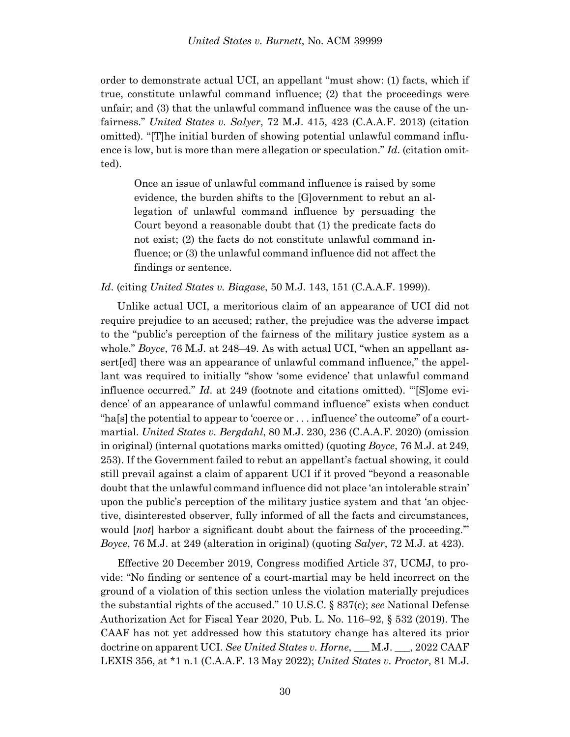order to demonstrate actual UCI, an appellant "must show: (1) facts, which if true, constitute unlawful command influence; (2) that the proceedings were unfair; and (3) that the unlawful command influence was the cause of the unfairness." *United States v. Salyer*, 72 M.J. 415, 423 (C.A.A.F. 2013) (citation omitted). "[T]he initial burden of showing potential unlawful command influence is low, but is more than mere allegation or speculation." *Id*. (citation omitted).

Once an issue of unlawful command influence is raised by some evidence, the burden shifts to the [G]overnment to rebut an allegation of unlawful command influence by persuading the Court beyond a reasonable doubt that (1) the predicate facts do not exist; (2) the facts do not constitute unlawful command influence; or (3) the unlawful command influence did not affect the findings or sentence.

*Id*. (citing *United States v. Biagase*, 50 M.J. 143, 151 (C.A.A.F. 1999)).

Unlike actual UCI, a meritorious claim of an appearance of UCI did not require prejudice to an accused; rather, the prejudice was the adverse impact to the "public's perception of the fairness of the military justice system as a whole." *Boyce*, 76 M.J. at 248–49. As with actual UCI, "when an appellant assert[ed] there was an appearance of unlawful command influence," the appellant was required to initially "show 'some evidence' that unlawful command influence occurred." *Id*. at 249 (footnote and citations omitted). "'[S]ome evidence' of an appearance of unlawful command influence" exists when conduct "ha[s] the potential to appear to 'coerce or . . . influence' the outcome" of a courtmartial. *United States v. Bergdahl*, 80 M.J. 230, 236 (C.A.A.F. 2020) (omission in original) (internal quotations marks omitted) (quoting *Boyce*, 76 M.J. at 249, 253). If the Government failed to rebut an appellant's factual showing, it could still prevail against a claim of apparent UCI if it proved "beyond a reasonable doubt that the unlawful command influence did not place 'an intolerable strain' upon the public's perception of the military justice system and that 'an objective, disinterested observer, fully informed of all the facts and circumstances, would [*not*] harbor a significant doubt about the fairness of the proceeding.'" *Boyce*, 76 M.J. at 249 (alteration in original) (quoting *Salyer*, 72 M.J. at 423).

Effective 20 December 2019, Congress modified Article 37, UCMJ, to provide: "No finding or sentence of a court-martial may be held incorrect on the ground of a violation of this section unless the violation materially prejudices the substantial rights of the accused." 10 U.S.C. § 837(c); *see* National Defense Authorization Act for Fiscal Year 2020, Pub. L. No. 116–92, § 532 (2019). The CAAF has not yet addressed how this statutory change has altered its prior doctrine on apparent UCI. *See United States v. Horne*, \_\_\_ M.J. \_\_\_, 2022 CAAF LEXIS 356, at \*1 n.1 (C.A.A.F. 13 May 2022); *United States v. Proctor*, 81 M.J.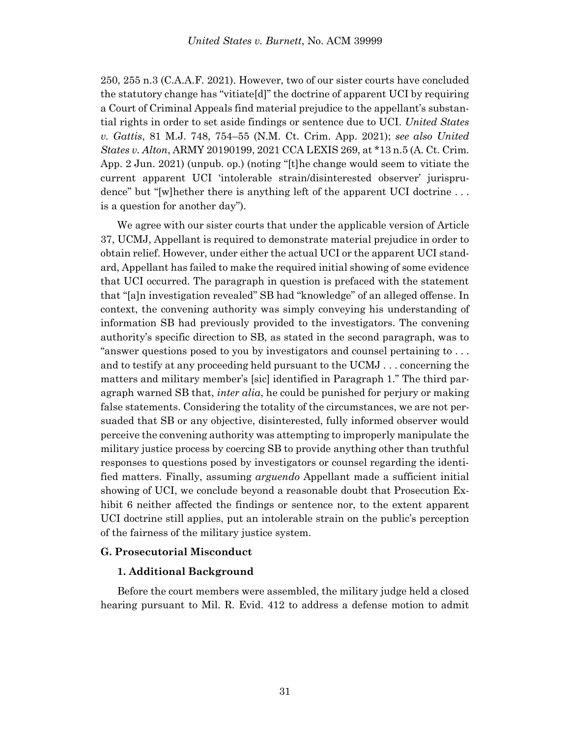250, 255 n.3 (C.A.A.F. 2021). However, two of our sister courts have concluded the statutory change has "vitiate[d]" the doctrine of apparent UCI by requiring a Court of Criminal Appeals find material prejudice to the appellant's substantial rights in order to set aside findings or sentence due to UCI. *United States v. Gattis*, 81 M.J. 748, 754–55 (N.M. Ct. Crim. App. 2021); *see also United States v. Alton*, ARMY 20190199, 2021 CCA LEXIS 269, at \*13 n.5 (A. Ct. Crim. App. 2 Jun. 2021) (unpub. op.) (noting "[t]he change would seem to vitiate the current apparent UCI 'intolerable strain/disinterested observer' jurisprudence" but "[w]hether there is anything left of the apparent UCI doctrine . . . is a question for another day").

We agree with our sister courts that under the applicable version of Article 37, UCMJ, Appellant is required to demonstrate material prejudice in order to obtain relief. However, under either the actual UCI or the apparent UCI standard, Appellant has failed to make the required initial showing of some evidence that UCI occurred. The paragraph in question is prefaced with the statement that "[a]n investigation revealed" SB had "knowledge" of an alleged offense. In context, the convening authority was simply conveying his understanding of information SB had previously provided to the investigators. The convening authority's specific direction to SB, as stated in the second paragraph, was to "answer questions posed to you by investigators and counsel pertaining to . . . and to testify at any proceeding held pursuant to the UCMJ . . . concerning the matters and military member's [sic] identified in Paragraph 1." The third paragraph warned SB that, *inter alia*, he could be punished for perjury or making false statements. Considering the totality of the circumstances, we are not persuaded that SB or any objective, disinterested, fully informed observer would perceive the convening authority was attempting to improperly manipulate the military justice process by coercing SB to provide anything other than truthful responses to questions posed by investigators or counsel regarding the identified matters. Finally, assuming *arguendo* Appellant made a sufficient initial showing of UCI, we conclude beyond a reasonable doubt that Prosecution Exhibit 6 neither affected the findings or sentence nor, to the extent apparent UCI doctrine still applies, put an intolerable strain on the public's perception of the fairness of the military justice system.

# **G. Prosecutorial Misconduct**

### **1. Additional Background**

Before the court members were assembled, the military judge held a closed hearing pursuant to Mil. R. Evid. 412 to address a defense motion to admit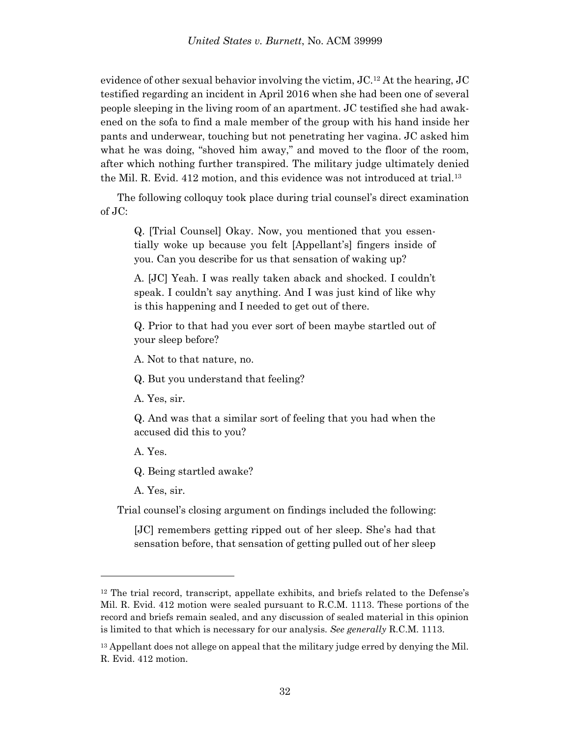evidence of other sexual behavior involving the victim, JC.<sup>12</sup> At the hearing, JC testified regarding an incident in April 2016 when she had been one of several people sleeping in the living room of an apartment. JC testified she had awakened on the sofa to find a male member of the group with his hand inside her pants and underwear, touching but not penetrating her vagina. JC asked him what he was doing, "shoved him away," and moved to the floor of the room, after which nothing further transpired. The military judge ultimately denied the Mil. R. Evid. 412 motion, and this evidence was not introduced at trial.<sup>13</sup>

The following colloquy took place during trial counsel's direct examination of JC:

Q. [Trial Counsel] Okay. Now, you mentioned that you essentially woke up because you felt [Appellant's] fingers inside of you. Can you describe for us that sensation of waking up?

A. [JC] Yeah. I was really taken aback and shocked. I couldn't speak. I couldn't say anything. And I was just kind of like why is this happening and I needed to get out of there.

Q. Prior to that had you ever sort of been maybe startled out of your sleep before?

A. Not to that nature, no.

Q. But you understand that feeling?

A. Yes, sir.

Q. And was that a similar sort of feeling that you had when the accused did this to you?

A. Yes.

l

Q. Being startled awake?

A. Yes, sir.

Trial counsel's closing argument on findings included the following:

[JC] remembers getting ripped out of her sleep. She's had that sensation before, that sensation of getting pulled out of her sleep

<sup>&</sup>lt;sup>12</sup> The trial record, transcript, appellate exhibits, and briefs related to the Defense's Mil. R. Evid. 412 motion were sealed pursuant to R.C.M. 1113. These portions of the record and briefs remain sealed, and any discussion of sealed material in this opinion is limited to that which is necessary for our analysis. *See generally* R.C.M. 1113.

 $13$  Appellant does not allege on appeal that the military judge erred by denying the Mil. R. Evid. 412 motion.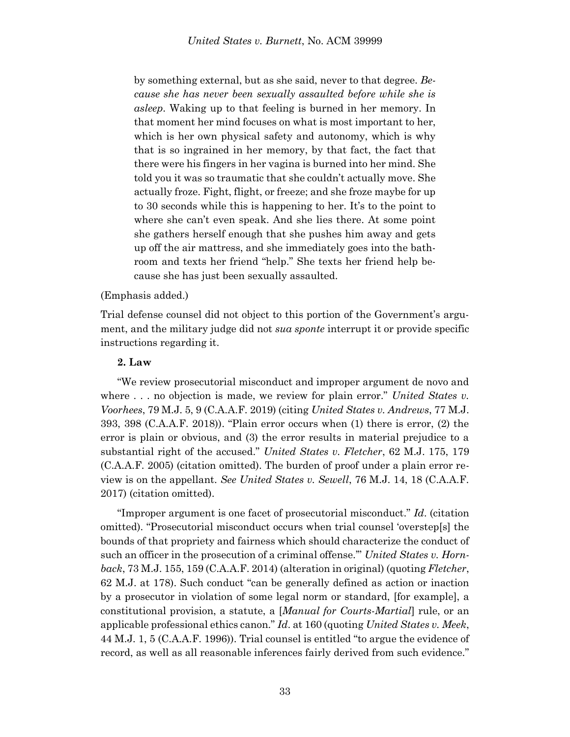by something external, but as she said, never to that degree. *Because she has never been sexually assaulted before while she is asleep*. Waking up to that feeling is burned in her memory. In that moment her mind focuses on what is most important to her, which is her own physical safety and autonomy, which is why that is so ingrained in her memory, by that fact, the fact that there were his fingers in her vagina is burned into her mind. She told you it was so traumatic that she couldn't actually move. She actually froze. Fight, flight, or freeze; and she froze maybe for up to 30 seconds while this is happening to her. It's to the point to where she can't even speak. And she lies there. At some point she gathers herself enough that she pushes him away and gets up off the air mattress, and she immediately goes into the bathroom and texts her friend "help." She texts her friend help because she has just been sexually assaulted.

### (Emphasis added.)

Trial defense counsel did not object to this portion of the Government's argument, and the military judge did not *sua sponte* interrupt it or provide specific instructions regarding it.

### **2. Law**

"We review prosecutorial misconduct and improper argument de novo and where . . . no objection is made, we review for plain error." *United States v. Voorhees*, 79 M.J. 5, 9 (C.A.A.F. 2019) (citing *United States v. Andrews*, 77 M.J. 393, 398 (C.A.A.F. 2018)). "Plain error occurs when (1) there is error, (2) the error is plain or obvious, and (3) the error results in material prejudice to a substantial right of the accused." *United States v. Fletcher*, 62 M.J. 175, 179 (C.A.A.F. 2005) (citation omitted). The burden of proof under a plain error review is on the appellant. *See United States v. Sewell*, 76 M.J. 14, 18 (C.A.A.F. 2017) (citation omitted).

"Improper argument is one facet of prosecutorial misconduct." *Id*. (citation omitted). "Prosecutorial misconduct occurs when trial counsel 'overstep[s] the bounds of that propriety and fairness which should characterize the conduct of such an officer in the prosecution of a criminal offense.'" *United States v. Hornback*, 73 M.J. 155, 159 (C.A.A.F. 2014) (alteration in original) (quoting *Fletcher*, 62 M.J. at 178). Such conduct "can be generally defined as action or inaction by a prosecutor in violation of some legal norm or standard, [for example], a constitutional provision, a statute, a [*Manual for Courts-Martial*] rule, or an applicable professional ethics canon." *Id*. at 160 (quoting *United States v. Meek*, 44 M.J. 1, 5 (C.A.A.F. 1996)). Trial counsel is entitled "to argue the evidence of record, as well as all reasonable inferences fairly derived from such evidence."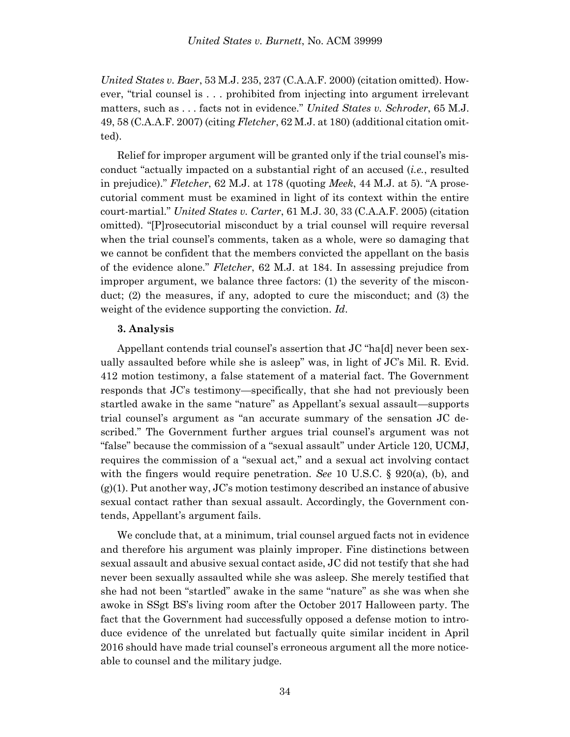*United States v. Baer*, 53 M.J. 235, 237 (C.A.A.F. 2000) (citation omitted). However, "trial counsel is . . . prohibited from injecting into argument irrelevant matters, such as . . . facts not in evidence." *United States v. Schroder*, 65 M.J. 49, 58 (C.A.A.F. 2007) (citing *Fletcher*, 62 M.J. at 180) (additional citation omitted).

Relief for improper argument will be granted only if the trial counsel's misconduct "actually impacted on a substantial right of an accused (*i.e.*, resulted in prejudice)." *Fletcher*, 62 M.J. at 178 (quoting *Meek*, 44 M.J. at 5). "A prosecutorial comment must be examined in light of its context within the entire court-martial." *United States v. Carter*, 61 M.J. 30, 33 (C.A.A.F. 2005) (citation omitted). "[P]rosecutorial misconduct by a trial counsel will require reversal when the trial counsel's comments, taken as a whole, were so damaging that we cannot be confident that the members convicted the appellant on the basis of the evidence alone." *Fletcher*, 62 M.J. at 184. In assessing prejudice from improper argument, we balance three factors: (1) the severity of the misconduct; (2) the measures, if any, adopted to cure the misconduct; and (3) the weight of the evidence supporting the conviction. *Id*.

### **3. Analysis**

Appellant contends trial counsel's assertion that JC "ha[d] never been sexually assaulted before while she is asleep" was, in light of JC's Mil. R. Evid. 412 motion testimony, a false statement of a material fact. The Government responds that JC's testimony—specifically, that she had not previously been startled awake in the same "nature" as Appellant's sexual assault—supports trial counsel's argument as "an accurate summary of the sensation JC described." The Government further argues trial counsel's argument was not "false" because the commission of a "sexual assault" under Article 120, UCMJ, requires the commission of a "sexual act," and a sexual act involving contact with the fingers would require penetration. *See* 10 U.S.C. § 920(a), (b), and  $(g)(1)$ . Put another way, JC's motion testimony described an instance of abusive sexual contact rather than sexual assault. Accordingly, the Government contends, Appellant's argument fails.

We conclude that, at a minimum, trial counsel argued facts not in evidence and therefore his argument was plainly improper. Fine distinctions between sexual assault and abusive sexual contact aside, JC did not testify that she had never been sexually assaulted while she was asleep. She merely testified that she had not been "startled" awake in the same "nature" as she was when she awoke in SSgt BS's living room after the October 2017 Halloween party. The fact that the Government had successfully opposed a defense motion to introduce evidence of the unrelated but factually quite similar incident in April 2016 should have made trial counsel's erroneous argument all the more noticeable to counsel and the military judge.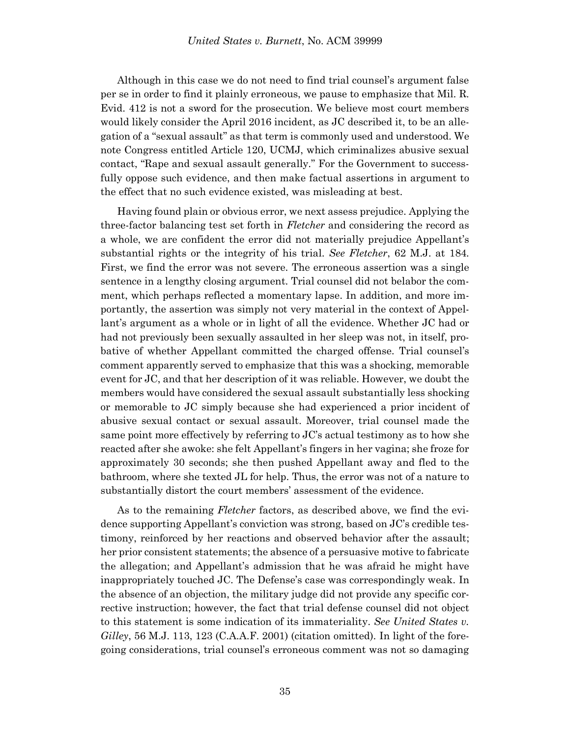Although in this case we do not need to find trial counsel's argument false per se in order to find it plainly erroneous, we pause to emphasize that Mil. R. Evid. 412 is not a sword for the prosecution. We believe most court members would likely consider the April 2016 incident, as JC described it, to be an allegation of a "sexual assault" as that term is commonly used and understood. We note Congress entitled Article 120, UCMJ, which criminalizes abusive sexual contact, "Rape and sexual assault generally." For the Government to successfully oppose such evidence, and then make factual assertions in argument to the effect that no such evidence existed, was misleading at best.

Having found plain or obvious error, we next assess prejudice. Applying the three-factor balancing test set forth in *Fletcher* and considering the record as a whole, we are confident the error did not materially prejudice Appellant's substantial rights or the integrity of his trial. *See Fletcher*, 62 M.J. at 184. First, we find the error was not severe. The erroneous assertion was a single sentence in a lengthy closing argument. Trial counsel did not belabor the comment, which perhaps reflected a momentary lapse. In addition, and more importantly, the assertion was simply not very material in the context of Appellant's argument as a whole or in light of all the evidence. Whether JC had or had not previously been sexually assaulted in her sleep was not, in itself, probative of whether Appellant committed the charged offense. Trial counsel's comment apparently served to emphasize that this was a shocking, memorable event for JC, and that her description of it was reliable. However, we doubt the members would have considered the sexual assault substantially less shocking or memorable to JC simply because she had experienced a prior incident of abusive sexual contact or sexual assault. Moreover, trial counsel made the same point more effectively by referring to JC's actual testimony as to how she reacted after she awoke: she felt Appellant's fingers in her vagina; she froze for approximately 30 seconds; she then pushed Appellant away and fled to the bathroom, where she texted JL for help. Thus, the error was not of a nature to substantially distort the court members' assessment of the evidence.

As to the remaining *Fletcher* factors, as described above, we find the evidence supporting Appellant's conviction was strong, based on JC's credible testimony, reinforced by her reactions and observed behavior after the assault; her prior consistent statements; the absence of a persuasive motive to fabricate the allegation; and Appellant's admission that he was afraid he might have inappropriately touched JC. The Defense's case was correspondingly weak. In the absence of an objection, the military judge did not provide any specific corrective instruction; however, the fact that trial defense counsel did not object to this statement is some indication of its immateriality. *See United States v. Gilley*, 56 M.J. 113, 123 (C.A.A.F. 2001) (citation omitted). In light of the foregoing considerations, trial counsel's erroneous comment was not so damaging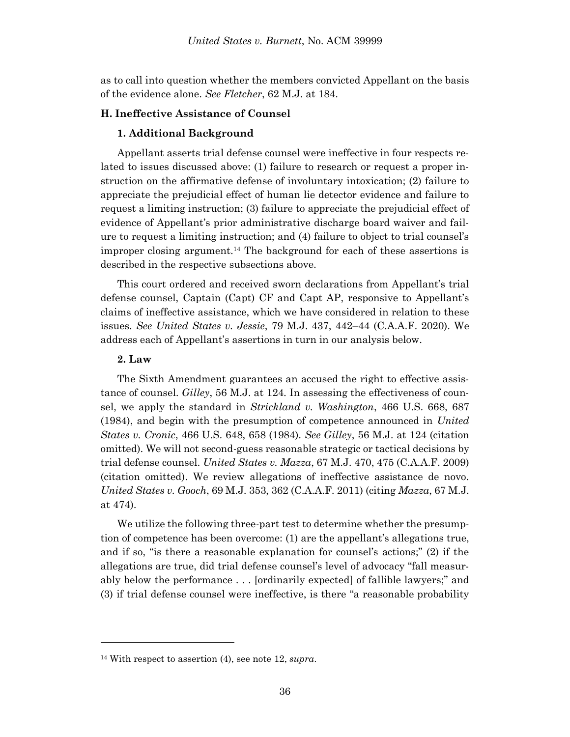as to call into question whether the members convicted Appellant on the basis of the evidence alone. *See Fletcher*, 62 M.J. at 184.

# **H. Ineffective Assistance of Counsel**

### **1. Additional Background**

Appellant asserts trial defense counsel were ineffective in four respects related to issues discussed above: (1) failure to research or request a proper instruction on the affirmative defense of involuntary intoxication; (2) failure to appreciate the prejudicial effect of human lie detector evidence and failure to request a limiting instruction; (3) failure to appreciate the prejudicial effect of evidence of Appellant's prior administrative discharge board waiver and failure to request a limiting instruction; and (4) failure to object to trial counsel's improper closing argument.<sup>14</sup> The background for each of these assertions is described in the respective subsections above.

This court ordered and received sworn declarations from Appellant's trial defense counsel, Captain (Capt) CF and Capt AP, responsive to Appellant's claims of ineffective assistance, which we have considered in relation to these issues. *See United States v. Jessie*, 79 M.J. 437, 442–44 (C.A.A.F. 2020). We address each of Appellant's assertions in turn in our analysis below.

# **2. Law**

l

The Sixth Amendment guarantees an accused the right to effective assistance of counsel. *Gilley*, 56 M.J. at 124. In assessing the effectiveness of counsel, we apply the standard in *Strickland v. Washington*, 466 U.S. 668, 687 (1984), and begin with the presumption of competence announced in *United States v. Cronic*, 466 U.S. 648, 658 (1984). *See Gilley*, 56 M.J. at 124 (citation omitted). We will not second-guess reasonable strategic or tactical decisions by trial defense counsel. *United States v. Mazza*, 67 M.J. 470, 475 (C.A.A.F. 2009) (citation omitted). We review allegations of ineffective assistance de novo. *United States v. Gooch*, 69 M.J. 353, 362 (C.A.A.F. 2011) (citing *Mazza*, 67 M.J. at 474).

We utilize the following three-part test to determine whether the presumption of competence has been overcome: (1) are the appellant's allegations true, and if so, "is there a reasonable explanation for counsel's actions;" (2) if the allegations are true, did trial defense counsel's level of advocacy "fall measurably below the performance . . . [ordinarily expected] of fallible lawyers;" and (3) if trial defense counsel were ineffective, is there "a reasonable probability

<sup>14</sup> With respect to assertion (4), see note 12, *supra*.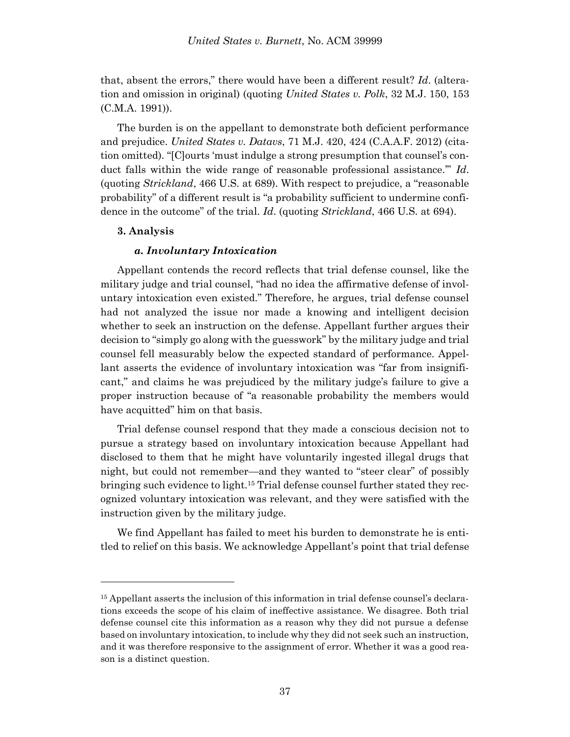that, absent the errors," there would have been a different result? *Id*. (alteration and omission in original) (quoting *United States v. Polk*, 32 M.J. 150, 153 (C.M.A. 1991)).

The burden is on the appellant to demonstrate both deficient performance and prejudice. *United States v. Datavs*, 71 M.J. 420, 424 (C.A.A.F. 2012) (citation omitted). "[C]ourts 'must indulge a strong presumption that counsel's conduct falls within the wide range of reasonable professional assistance.'" *Id*. (quoting *Strickland*, 466 U.S. at 689). With respect to prejudice, a "reasonable probability" of a different result is "a probability sufficient to undermine confidence in the outcome" of the trial. *Id*. (quoting *Strickland*, 466 U.S. at 694).

### **3. Analysis**

l

### *a. Involuntary Intoxication*

Appellant contends the record reflects that trial defense counsel, like the military judge and trial counsel, "had no idea the affirmative defense of involuntary intoxication even existed." Therefore, he argues, trial defense counsel had not analyzed the issue nor made a knowing and intelligent decision whether to seek an instruction on the defense. Appellant further argues their decision to "simply go along with the guesswork" by the military judge and trial counsel fell measurably below the expected standard of performance. Appellant asserts the evidence of involuntary intoxication was "far from insignificant," and claims he was prejudiced by the military judge's failure to give a proper instruction because of "a reasonable probability the members would have acquitted" him on that basis.

Trial defense counsel respond that they made a conscious decision not to pursue a strategy based on involuntary intoxication because Appellant had disclosed to them that he might have voluntarily ingested illegal drugs that night, but could not remember—and they wanted to "steer clear" of possibly bringing such evidence to light.<sup>15</sup> Trial defense counsel further stated they recognized voluntary intoxication was relevant, and they were satisfied with the instruction given by the military judge.

We find Appellant has failed to meet his burden to demonstrate he is entitled to relief on this basis. We acknowledge Appellant's point that trial defense

<sup>15</sup> Appellant asserts the inclusion of this information in trial defense counsel's declarations exceeds the scope of his claim of ineffective assistance. We disagree. Both trial defense counsel cite this information as a reason why they did not pursue a defense based on involuntary intoxication, to include why they did not seek such an instruction, and it was therefore responsive to the assignment of error. Whether it was a good reason is a distinct question.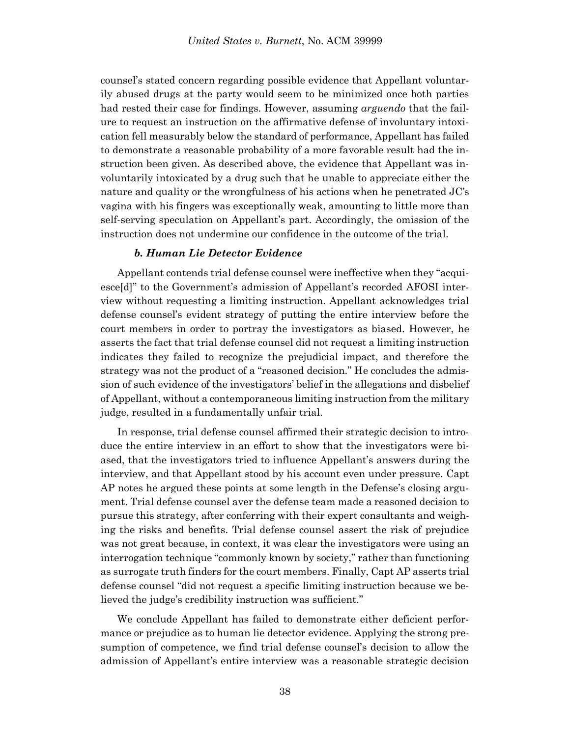counsel's stated concern regarding possible evidence that Appellant voluntarily abused drugs at the party would seem to be minimized once both parties had rested their case for findings. However, assuming *arguendo* that the failure to request an instruction on the affirmative defense of involuntary intoxication fell measurably below the standard of performance, Appellant has failed to demonstrate a reasonable probability of a more favorable result had the instruction been given. As described above, the evidence that Appellant was involuntarily intoxicated by a drug such that he unable to appreciate either the nature and quality or the wrongfulness of his actions when he penetrated JC's vagina with his fingers was exceptionally weak, amounting to little more than self-serving speculation on Appellant's part. Accordingly, the omission of the instruction does not undermine our confidence in the outcome of the trial.

### *b. Human Lie Detector Evidence*

Appellant contends trial defense counsel were ineffective when they "acquiesce[d]" to the Government's admission of Appellant's recorded AFOSI interview without requesting a limiting instruction. Appellant acknowledges trial defense counsel's evident strategy of putting the entire interview before the court members in order to portray the investigators as biased. However, he asserts the fact that trial defense counsel did not request a limiting instruction indicates they failed to recognize the prejudicial impact, and therefore the strategy was not the product of a "reasoned decision." He concludes the admission of such evidence of the investigators' belief in the allegations and disbelief of Appellant, without a contemporaneous limiting instruction from the military judge, resulted in a fundamentally unfair trial.

In response, trial defense counsel affirmed their strategic decision to introduce the entire interview in an effort to show that the investigators were biased, that the investigators tried to influence Appellant's answers during the interview, and that Appellant stood by his account even under pressure. Capt AP notes he argued these points at some length in the Defense's closing argument. Trial defense counsel aver the defense team made a reasoned decision to pursue this strategy, after conferring with their expert consultants and weighing the risks and benefits. Trial defense counsel assert the risk of prejudice was not great because, in context, it was clear the investigators were using an interrogation technique "commonly known by society," rather than functioning as surrogate truth finders for the court members. Finally, Capt AP asserts trial defense counsel "did not request a specific limiting instruction because we believed the judge's credibility instruction was sufficient."

We conclude Appellant has failed to demonstrate either deficient performance or prejudice as to human lie detector evidence. Applying the strong presumption of competence, we find trial defense counsel's decision to allow the admission of Appellant's entire interview was a reasonable strategic decision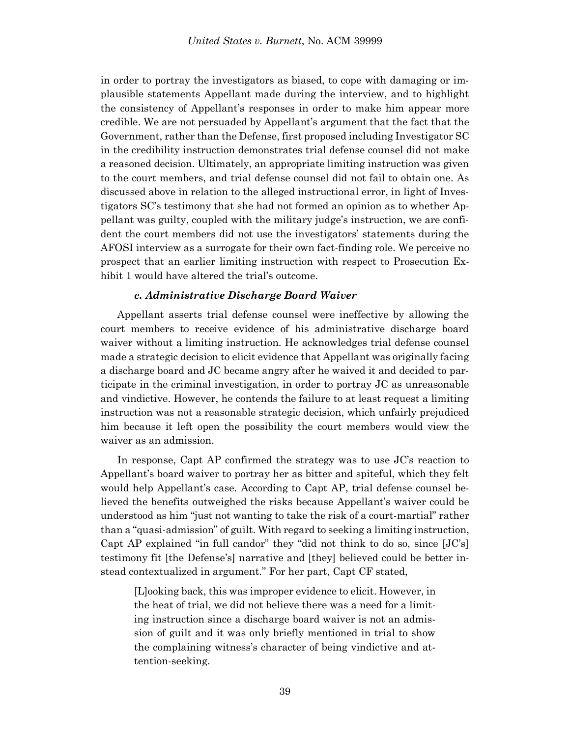in order to portray the investigators as biased, to cope with damaging or implausible statements Appellant made during the interview, and to highlight the consistency of Appellant's responses in order to make him appear more credible. We are not persuaded by Appellant's argument that the fact that the Government, rather than the Defense, first proposed including Investigator SC in the credibility instruction demonstrates trial defense counsel did not make a reasoned decision. Ultimately, an appropriate limiting instruction was given to the court members, and trial defense counsel did not fail to obtain one. As discussed above in relation to the alleged instructional error, in light of Investigators SC's testimony that she had not formed an opinion as to whether Appellant was guilty, coupled with the military judge's instruction, we are confident the court members did not use the investigators' statements during the AFOSI interview as a surrogate for their own fact-finding role. We perceive no prospect that an earlier limiting instruction with respect to Prosecution Exhibit 1 would have altered the trial's outcome.

### *c. Administrative Discharge Board Waiver*

Appellant asserts trial defense counsel were ineffective by allowing the court members to receive evidence of his administrative discharge board waiver without a limiting instruction. He acknowledges trial defense counsel made a strategic decision to elicit evidence that Appellant was originally facing a discharge board and JC became angry after he waived it and decided to participate in the criminal investigation, in order to portray JC as unreasonable and vindictive. However, he contends the failure to at least request a limiting instruction was not a reasonable strategic decision, which unfairly prejudiced him because it left open the possibility the court members would view the waiver as an admission.

In response, Capt AP confirmed the strategy was to use JC's reaction to Appellant's board waiver to portray her as bitter and spiteful, which they felt would help Appellant's case. According to Capt AP, trial defense counsel believed the benefits outweighed the risks because Appellant's waiver could be understood as him "just not wanting to take the risk of a court-martial" rather than a "quasi-admission" of guilt. With regard to seeking a limiting instruction, Capt AP explained "in full candor" they "did not think to do so, since [JC's] testimony fit [the Defense's] narrative and [they] believed could be better instead contextualized in argument." For her part, Capt CF stated,

[L]ooking back, this was improper evidence to elicit. However, in the heat of trial, we did not believe there was a need for a limiting instruction since a discharge board waiver is not an admission of guilt and it was only briefly mentioned in trial to show the complaining witness's character of being vindictive and attention-seeking.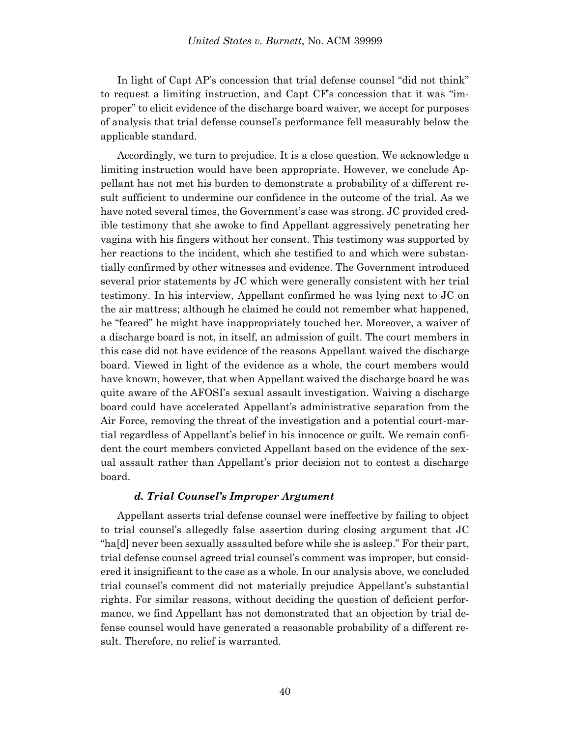In light of Capt AP's concession that trial defense counsel "did not think" to request a limiting instruction, and Capt CF's concession that it was "improper" to elicit evidence of the discharge board waiver, we accept for purposes of analysis that trial defense counsel's performance fell measurably below the applicable standard.

Accordingly, we turn to prejudice. It is a close question. We acknowledge a limiting instruction would have been appropriate. However, we conclude Appellant has not met his burden to demonstrate a probability of a different result sufficient to undermine our confidence in the outcome of the trial. As we have noted several times, the Government's case was strong. JC provided credible testimony that she awoke to find Appellant aggressively penetrating her vagina with his fingers without her consent. This testimony was supported by her reactions to the incident, which she testified to and which were substantially confirmed by other witnesses and evidence. The Government introduced several prior statements by JC which were generally consistent with her trial testimony. In his interview, Appellant confirmed he was lying next to JC on the air mattress; although he claimed he could not remember what happened, he "feared" he might have inappropriately touched her. Moreover, a waiver of a discharge board is not, in itself, an admission of guilt. The court members in this case did not have evidence of the reasons Appellant waived the discharge board. Viewed in light of the evidence as a whole, the court members would have known, however, that when Appellant waived the discharge board he was quite aware of the AFOSI's sexual assault investigation. Waiving a discharge board could have accelerated Appellant's administrative separation from the Air Force, removing the threat of the investigation and a potential court-martial regardless of Appellant's belief in his innocence or guilt. We remain confident the court members convicted Appellant based on the evidence of the sexual assault rather than Appellant's prior decision not to contest a discharge board.

# *d. Trial Counsel's Improper Argument*

Appellant asserts trial defense counsel were ineffective by failing to object to trial counsel's allegedly false assertion during closing argument that JC "ha[d] never been sexually assaulted before while she is asleep." For their part, trial defense counsel agreed trial counsel's comment was improper, but considered it insignificant to the case as a whole. In our analysis above, we concluded trial counsel's comment did not materially prejudice Appellant's substantial rights. For similar reasons, without deciding the question of deficient performance, we find Appellant has not demonstrated that an objection by trial defense counsel would have generated a reasonable probability of a different result. Therefore, no relief is warranted.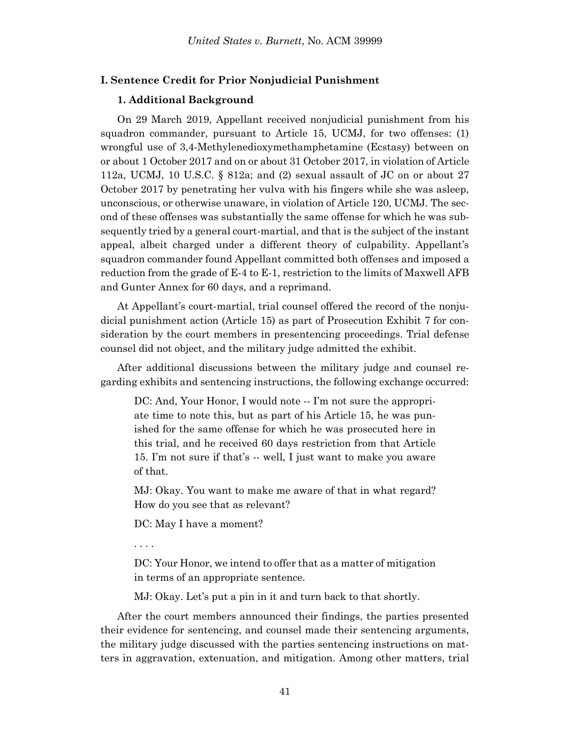### **I. Sentence Credit for Prior Nonjudicial Punishment**

#### **1. Additional Background**

On 29 March 2019, Appellant received nonjudicial punishment from his squadron commander, pursuant to Article 15, UCMJ, for two offenses: (1) wrongful use of 3,4-Methylenedioxymethamphetamine (Ecstasy) between on or about 1 October 2017 and on or about 31 October 2017, in violation of Article 112a, UCMJ, 10 U.S.C. § 812a; and (2) sexual assault of JC on or about 27 October 2017 by penetrating her vulva with his fingers while she was asleep, unconscious, or otherwise unaware, in violation of Article 120, UCMJ. The second of these offenses was substantially the same offense for which he was subsequently tried by a general court-martial, and that is the subject of the instant appeal, albeit charged under a different theory of culpability. Appellant's squadron commander found Appellant committed both offenses and imposed a reduction from the grade of E-4 to E-1, restriction to the limits of Maxwell AFB and Gunter Annex for 60 days, and a reprimand.

At Appellant's court-martial, trial counsel offered the record of the nonjudicial punishment action (Article 15) as part of Prosecution Exhibit 7 for consideration by the court members in presentencing proceedings. Trial defense counsel did not object, and the military judge admitted the exhibit.

After additional discussions between the military judge and counsel regarding exhibits and sentencing instructions, the following exchange occurred:

DC: And, Your Honor, I would note -- I'm not sure the appropriate time to note this, but as part of his Article 15, he was punished for the same offense for which he was prosecuted here in this trial, and he received 60 days restriction from that Article 15. I'm not sure if that's -- well, I just want to make you aware of that.

MJ: Okay. You want to make me aware of that in what regard? How do you see that as relevant?

DC: May I have a moment?

. . . .

DC: Your Honor, we intend to offer that as a matter of mitigation in terms of an appropriate sentence.

MJ: Okay. Let's put a pin in it and turn back to that shortly.

After the court members announced their findings, the parties presented their evidence for sentencing, and counsel made their sentencing arguments, the military judge discussed with the parties sentencing instructions on matters in aggravation, extenuation, and mitigation. Among other matters, trial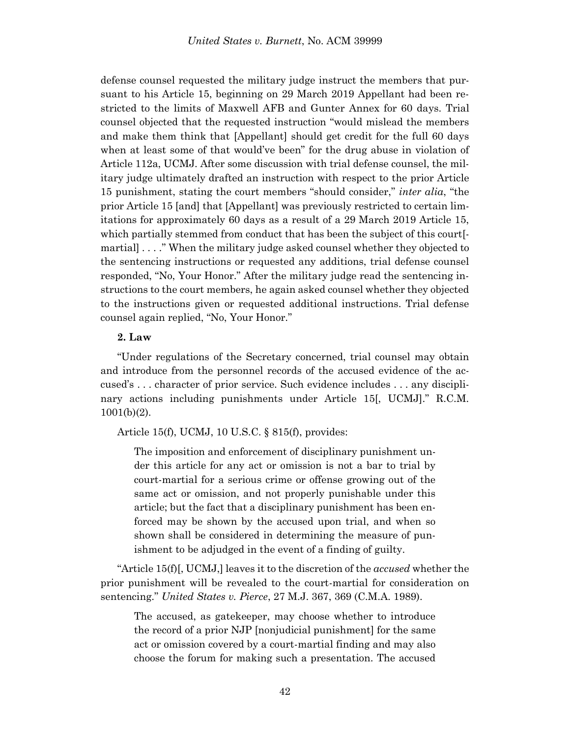defense counsel requested the military judge instruct the members that pursuant to his Article 15, beginning on 29 March 2019 Appellant had been restricted to the limits of Maxwell AFB and Gunter Annex for 60 days. Trial counsel objected that the requested instruction "would mislead the members and make them think that [Appellant] should get credit for the full 60 days when at least some of that would've been" for the drug abuse in violation of Article 112a, UCMJ. After some discussion with trial defense counsel, the military judge ultimately drafted an instruction with respect to the prior Article 15 punishment, stating the court members "should consider," *inter alia*, "the prior Article 15 [and] that [Appellant] was previously restricted to certain limitations for approximately 60 days as a result of a 29 March 2019 Article 15, which partially stemmed from conduct that has been the subject of this court[ martial] . . . ." When the military judge asked counsel whether they objected to the sentencing instructions or requested any additions, trial defense counsel responded, "No, Your Honor." After the military judge read the sentencing instructions to the court members, he again asked counsel whether they objected to the instructions given or requested additional instructions. Trial defense counsel again replied, "No, Your Honor."

### **2. Law**

"Under regulations of the Secretary concerned, trial counsel may obtain and introduce from the personnel records of the accused evidence of the accused's . . . character of prior service. Such evidence includes . . . any disciplinary actions including punishments under Article 15[, UCMJ]." R.C.M. 1001(b)(2).

Article 15(f), UCMJ, 10 U.S.C. § 815(f), provides:

The imposition and enforcement of disciplinary punishment under this article for any act or omission is not a bar to trial by court-martial for a serious crime or offense growing out of the same act or omission, and not properly punishable under this article; but the fact that a disciplinary punishment has been enforced may be shown by the accused upon trial, and when so shown shall be considered in determining the measure of punishment to be adjudged in the event of a finding of guilty.

"Article 15(f)[, UCMJ,] leaves it to the discretion of the *accused* whether the prior punishment will be revealed to the court-martial for consideration on sentencing." *United States v. Pierce*, 27 M.J. 367, 369 (C.M.A. 1989).

The accused, as gatekeeper, may choose whether to introduce the record of a prior NJP [nonjudicial punishment] for the same act or omission covered by a court-martial finding and may also choose the forum for making such a presentation. The accused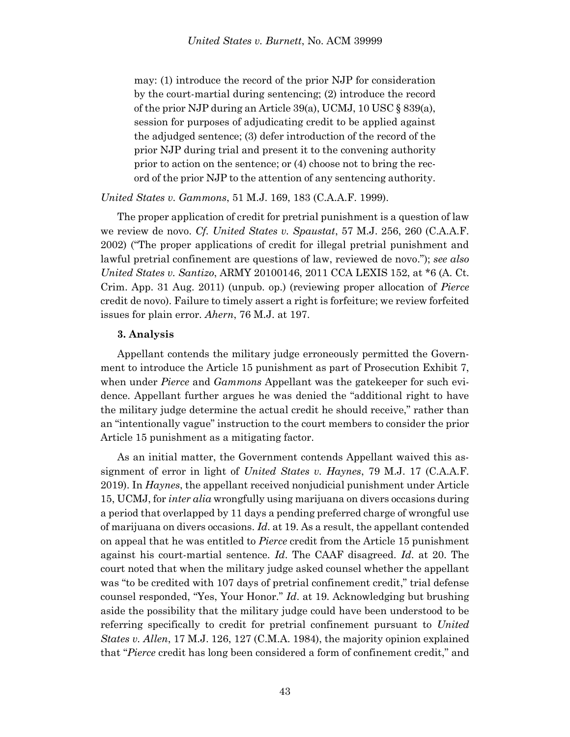may: (1) introduce the record of the prior NJP for consideration by the court-martial during sentencing; (2) introduce the record of the prior NJP during an Article 39(a), UCMJ, 10 USC § 839(a), session for purposes of adjudicating credit to be applied against the adjudged sentence; (3) defer introduction of the record of the prior NJP during trial and present it to the convening authority prior to action on the sentence; or (4) choose not to bring the record of the prior NJP to the attention of any sentencing authority.

### *United States v. Gammons*, 51 M.J. 169, 183 (C.A.A.F. 1999).

The proper application of credit for pretrial punishment is a question of law we review de novo. *Cf. United States v. Spaustat*, 57 M.J. 256, 260 (C.A.A.F. 2002) ("The proper applications of credit for illegal pretrial punishment and lawful pretrial confinement are questions of law, reviewed de novo."); *see also United States v. Santizo*, ARMY 20100146, 2011 CCA LEXIS 152, at \*6 (A. Ct. Crim. App. 31 Aug. 2011) (unpub. op.) (reviewing proper allocation of *Pierce* credit de novo). Failure to timely assert a right is forfeiture; we review forfeited issues for plain error. *Ahern*, 76 M.J. at 197.

#### **3. Analysis**

Appellant contends the military judge erroneously permitted the Government to introduce the Article 15 punishment as part of Prosecution Exhibit 7, when under *Pierce* and *Gammons* Appellant was the gatekeeper for such evidence. Appellant further argues he was denied the "additional right to have the military judge determine the actual credit he should receive," rather than an "intentionally vague" instruction to the court members to consider the prior Article 15 punishment as a mitigating factor.

As an initial matter, the Government contends Appellant waived this assignment of error in light of *United States v. Haynes*, 79 M.J. 17 (C.A.A.F. 2019). In *Haynes*, the appellant received nonjudicial punishment under Article 15, UCMJ, for *inter alia* wrongfully using marijuana on divers occasions during a period that overlapped by 11 days a pending preferred charge of wrongful use of marijuana on divers occasions. *Id*. at 19. As a result, the appellant contended on appeal that he was entitled to *Pierce* credit from the Article 15 punishment against his court-martial sentence. *Id*. The CAAF disagreed. *Id*. at 20. The court noted that when the military judge asked counsel whether the appellant was "to be credited with 107 days of pretrial confinement credit," trial defense counsel responded, "Yes, Your Honor." *Id*. at 19. Acknowledging but brushing aside the possibility that the military judge could have been understood to be referring specifically to credit for pretrial confinement pursuant to *United States v. Allen*, 17 M.J. 126, 127 (C.M.A. 1984), the majority opinion explained that "*Pierce* credit has long been considered a form of confinement credit," and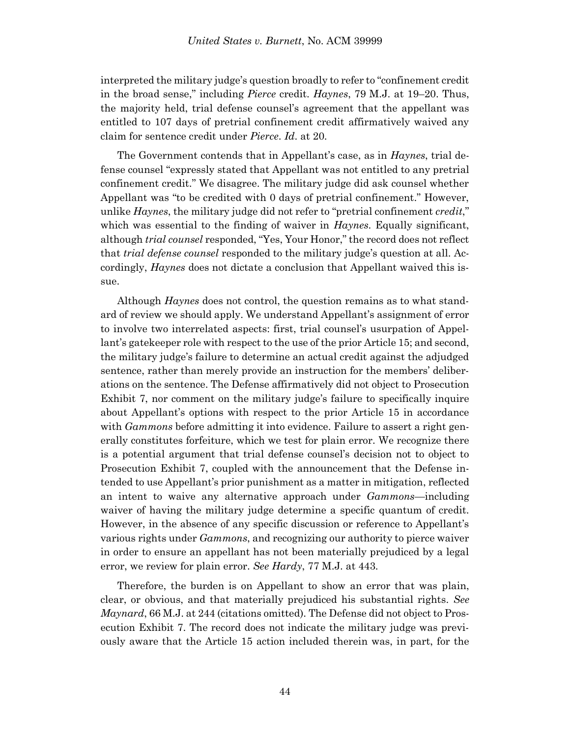interpreted the military judge's question broadly to refer to "confinement credit in the broad sense," including *Pierce* credit. *Haynes*, 79 M.J. at 19–20. Thus, the majority held, trial defense counsel's agreement that the appellant was entitled to 107 days of pretrial confinement credit affirmatively waived any claim for sentence credit under *Pierce*. *Id*. at 20.

The Government contends that in Appellant's case, as in *Haynes*, trial defense counsel "expressly stated that Appellant was not entitled to any pretrial confinement credit." We disagree. The military judge did ask counsel whether Appellant was "to be credited with 0 days of pretrial confinement." However, unlike *Haynes*, the military judge did not refer to "pretrial confinement *credit*," which was essential to the finding of waiver in *Haynes*. Equally significant, although *trial counsel* responded, "Yes, Your Honor," the record does not reflect that *trial defense counsel* responded to the military judge's question at all. Accordingly, *Haynes* does not dictate a conclusion that Appellant waived this issue.

Although *Haynes* does not control, the question remains as to what standard of review we should apply. We understand Appellant's assignment of error to involve two interrelated aspects: first, trial counsel's usurpation of Appellant's gatekeeper role with respect to the use of the prior Article 15; and second, the military judge's failure to determine an actual credit against the adjudged sentence, rather than merely provide an instruction for the members' deliberations on the sentence. The Defense affirmatively did not object to Prosecution Exhibit 7, nor comment on the military judge's failure to specifically inquire about Appellant's options with respect to the prior Article 15 in accordance with *Gammons* before admitting it into evidence. Failure to assert a right generally constitutes forfeiture, which we test for plain error. We recognize there is a potential argument that trial defense counsel's decision not to object to Prosecution Exhibit 7, coupled with the announcement that the Defense intended to use Appellant's prior punishment as a matter in mitigation, reflected an intent to waive any alternative approach under *Gammons*—including waiver of having the military judge determine a specific quantum of credit. However, in the absence of any specific discussion or reference to Appellant's various rights under *Gammons*, and recognizing our authority to pierce waiver in order to ensure an appellant has not been materially prejudiced by a legal error, we review for plain error. *See Hardy*, 77 M.J. at 443.

Therefore, the burden is on Appellant to show an error that was plain, clear, or obvious, and that materially prejudiced his substantial rights. *See Maynard*, 66 M.J. at 244 (citations omitted). The Defense did not object to Prosecution Exhibit 7. The record does not indicate the military judge was previously aware that the Article 15 action included therein was, in part, for the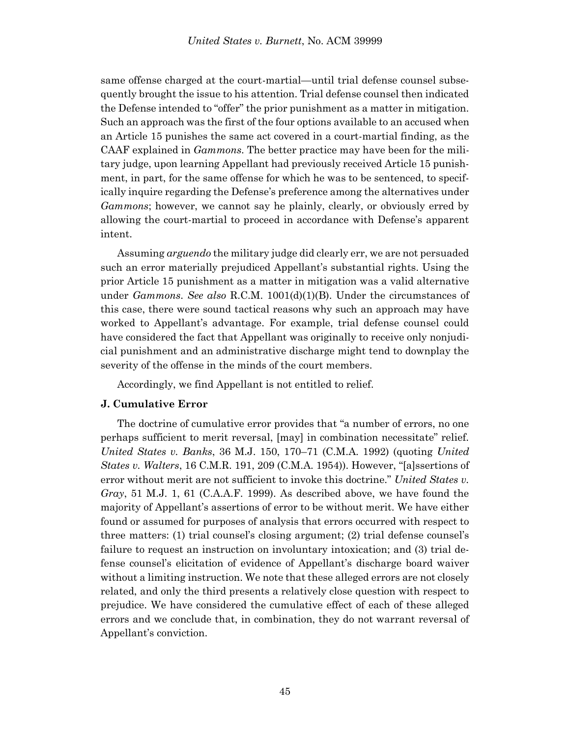same offense charged at the court-martial—until trial defense counsel subsequently brought the issue to his attention. Trial defense counsel then indicated the Defense intended to "offer" the prior punishment as a matter in mitigation. Such an approach was the first of the four options available to an accused when an Article 15 punishes the same act covered in a court-martial finding, as the CAAF explained in *Gammons*. The better practice may have been for the military judge, upon learning Appellant had previously received Article 15 punishment, in part, for the same offense for which he was to be sentenced, to specifically inquire regarding the Defense's preference among the alternatives under *Gammons*; however, we cannot say he plainly, clearly, or obviously erred by allowing the court-martial to proceed in accordance with Defense's apparent intent.

Assuming *arguendo* the military judge did clearly err, we are not persuaded such an error materially prejudiced Appellant's substantial rights. Using the prior Article 15 punishment as a matter in mitigation was a valid alternative under *Gammons*. *See also* R.C.M. 1001(d)(1)(B). Under the circumstances of this case, there were sound tactical reasons why such an approach may have worked to Appellant's advantage. For example, trial defense counsel could have considered the fact that Appellant was originally to receive only nonjudicial punishment and an administrative discharge might tend to downplay the severity of the offense in the minds of the court members.

Accordingly, we find Appellant is not entitled to relief.

# **J. Cumulative Error**

The doctrine of cumulative error provides that "a number of errors, no one perhaps sufficient to merit reversal, [may] in combination necessitate" relief. *United States v. Banks*, 36 M.J. 150, 170–71 (C.M.A. 1992) (quoting *United States v. Walters*, 16 C.M.R. 191, 209 (C.M.A. 1954)). However, "[a]ssertions of error without merit are not sufficient to invoke this doctrine." *United States v. Gray*, 51 M.J. 1, 61 (C.A.A.F. 1999). As described above, we have found the majority of Appellant's assertions of error to be without merit. We have either found or assumed for purposes of analysis that errors occurred with respect to three matters: (1) trial counsel's closing argument; (2) trial defense counsel's failure to request an instruction on involuntary intoxication; and (3) trial defense counsel's elicitation of evidence of Appellant's discharge board waiver without a limiting instruction. We note that these alleged errors are not closely related, and only the third presents a relatively close question with respect to prejudice. We have considered the cumulative effect of each of these alleged errors and we conclude that, in combination, they do not warrant reversal of Appellant's conviction.